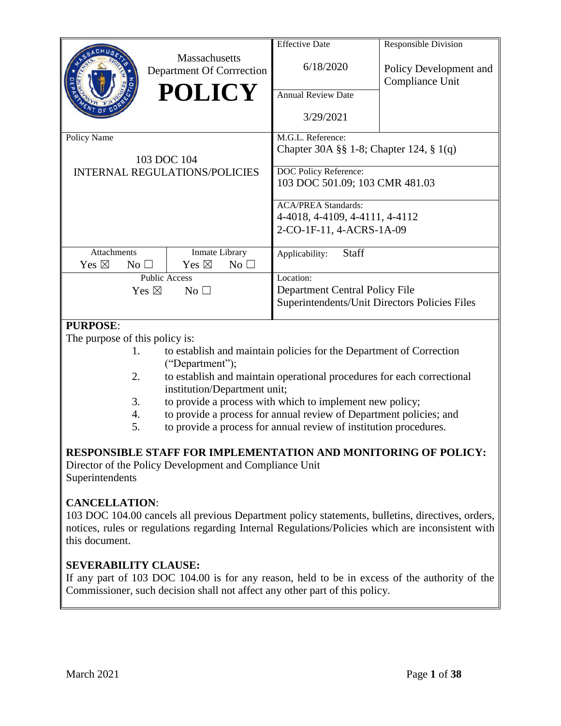|                                                          | Massachusetts<br>Department Of Corrrection<br><b>POLICY</b> | <b>Effective Date</b><br>6/18/2020<br><b>Annual Review Date</b><br>3/29/2021                                            | <b>Responsible Division</b><br>Policy Development and<br>Compliance Unit |  |  |  |
|----------------------------------------------------------|-------------------------------------------------------------|-------------------------------------------------------------------------------------------------------------------------|--------------------------------------------------------------------------|--|--|--|
| Policy Name                                              | 103 DOC 104<br><b>INTERNAL REGULATIONS/POLICIES</b>         | M.G.L. Reference:<br>Chapter 30A §§ 1-8; Chapter 124, § 1(q)<br>DOC Policy Reference:<br>103 DOC 501.09; 103 CMR 481.03 |                                                                          |  |  |  |
|                                                          |                                                             | <b>ACA/PREA Standards:</b><br>4-4018, 4-4109, 4-4111, 4-4112<br>2-CO-1F-11, 4-ACRS-1A-09                                |                                                                          |  |  |  |
| <b>Attachments</b><br>Yes $\boxtimes$<br>No <sub>1</sub> | Inmate Library<br>Yes $\boxtimes$<br>$No$ $\square$         | <b>Staff</b><br>Applicability:                                                                                          |                                                                          |  |  |  |
| Yes $\boxtimes$<br><b>DUDDACE</b>                        | <b>Public Access</b><br>$No$ $\square$                      | Location:<br>Department Central Policy File<br>Superintendents/Unit Directors Policies Files                            |                                                                          |  |  |  |

# **PURPOSE**:

The purpose of this policy is:

- 1. to establish and maintain policies for the Department of Correction ("Department");
- 2. to establish and maintain operational procedures for each correctional institution/Department unit;
- 3. to provide a process with which to implement new policy;
- 4. to provide a process for annual review of Department policies; and
- 5. to provide a process for annual review of institution procedures.

# **RESPONSIBLE STAFF FOR IMPLEMENTATION AND MONITORING OF POLICY:**

Director of the Policy Development and Compliance Unit Superintendents

# **CANCELLATION**:

103 DOC 104.00 cancels all previous Department policy statements, bulletins, directives, orders, notices, rules or regulations regarding Internal Regulations/Policies which are inconsistent with this document.

# **SEVERABILITY CLAUSE:**

If any part of 103 DOC 104.00 is for any reason, held to be in excess of the authority of the Commissioner, such decision shall not affect any other part of this policy.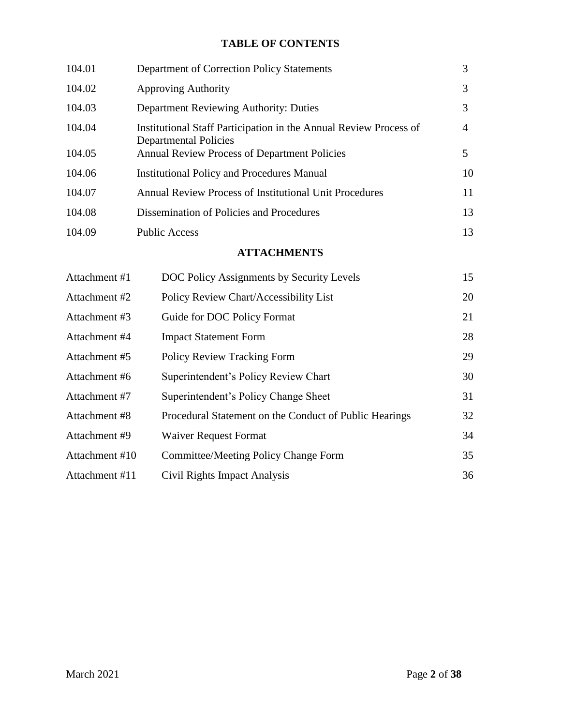# **TABLE OF CONTENTS**

| 104.01 | Department of Correction Policy Statements                                                        | 3  |
|--------|---------------------------------------------------------------------------------------------------|----|
| 104.02 | <b>Approving Authority</b>                                                                        | 3  |
| 104.03 | Department Reviewing Authority: Duties                                                            | 3  |
| 104.04 | Institutional Staff Participation in the Annual Review Process of<br><b>Departmental Policies</b> | 4  |
| 104.05 | <b>Annual Review Process of Department Policies</b>                                               | 5. |
| 104.06 | <b>Institutional Policy and Procedures Manual</b>                                                 | 10 |
| 104.07 | <b>Annual Review Process of Institutional Unit Procedures</b>                                     | 11 |
| 104.08 | Dissemination of Policies and Procedures                                                          | 13 |
| 104.09 | <b>Public Access</b>                                                                              | 13 |
|        |                                                                                                   |    |

# **ATTACHMENTS**

| Attachment #1  | DOC Policy Assignments by Security Levels              | 15 |
|----------------|--------------------------------------------------------|----|
| Attachment #2  | Policy Review Chart/Accessibility List                 | 20 |
| Attachment #3  | Guide for DOC Policy Format                            | 21 |
| Attachment #4  | <b>Impact Statement Form</b>                           | 28 |
| Attachment #5  | <b>Policy Review Tracking Form</b>                     | 29 |
| Attachment #6  | Superintendent's Policy Review Chart                   | 30 |
| Attachment #7  | Superintendent's Policy Change Sheet                   | 31 |
| Attachment #8  | Procedural Statement on the Conduct of Public Hearings | 32 |
| Attachment #9  | <b>Waiver Request Format</b>                           | 34 |
| Attachment #10 | Committee/Meeting Policy Change Form                   | 35 |
| Attachment #11 | Civil Rights Impact Analysis                           | 36 |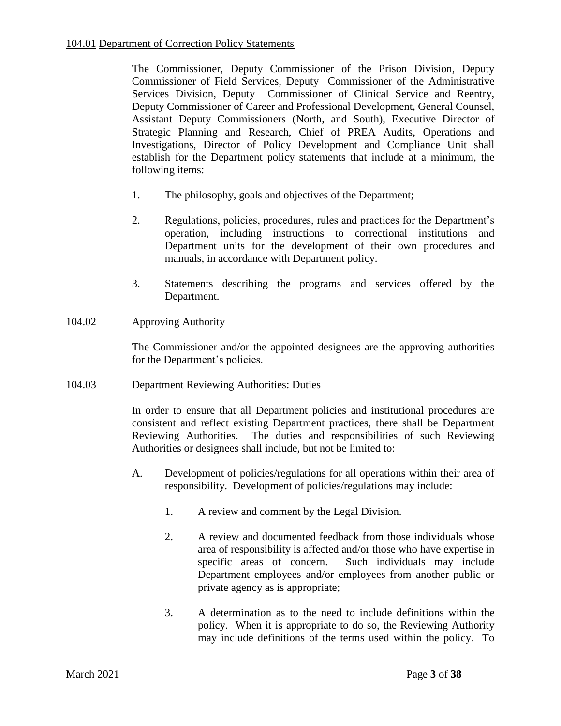The Commissioner, Deputy Commissioner of the Prison Division, Deputy Commissioner of Field Services, Deputy Commissioner of the Administrative Services Division, Deputy Commissioner of Clinical Service and Reentry, Deputy Commissioner of Career and Professional Development, General Counsel, Assistant Deputy Commissioners (North, and South), Executive Director of Strategic Planning and Research, Chief of PREA Audits, Operations and Investigations, Director of Policy Development and Compliance Unit shall establish for the Department policy statements that include at a minimum, the following items:

- 1. The philosophy, goals and objectives of the Department;
- 2. Regulations, policies, procedures, rules and practices for the Department's operation, including instructions to correctional institutions and Department units for the development of their own procedures and manuals, in accordance with Department policy.
- 3. Statements describing the programs and services offered by the Department.

### 104.02 Approving Authority

The Commissioner and/or the appointed designees are the approving authorities for the Department's policies.

### 104.03 Department Reviewing Authorities: Duties

In order to ensure that all Department policies and institutional procedures are consistent and reflect existing Department practices, there shall be Department Reviewing Authorities. The duties and responsibilities of such Reviewing Authorities or designees shall include, but not be limited to:

- A. Development of policies/regulations for all operations within their area of responsibility. Development of policies/regulations may include:
	- 1. A review and comment by the Legal Division.
	- 2. A review and documented feedback from those individuals whose area of responsibility is affected and/or those who have expertise in specific areas of concern. Such individuals may include Department employees and/or employees from another public or private agency as is appropriate;
	- 3. A determination as to the need to include definitions within the policy. When it is appropriate to do so, the Reviewing Authority may include definitions of the terms used within the policy. To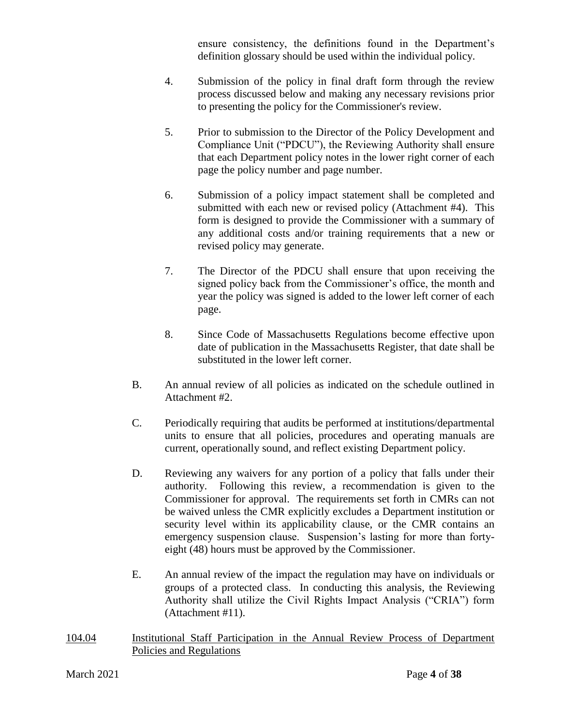ensure consistency, the definitions found in the Department's definition glossary should be used within the individual policy.

- 4. Submission of the policy in final draft form through the review process discussed below and making any necessary revisions prior to presenting the policy for the Commissioner's review.
- 5. Prior to submission to the Director of the Policy Development and Compliance Unit ("PDCU"), the Reviewing Authority shall ensure that each Department policy notes in the lower right corner of each page the policy number and page number.
- 6. Submission of a policy impact statement shall be completed and submitted with each new or revised policy (Attachment #4). This form is designed to provide the Commissioner with a summary of any additional costs and/or training requirements that a new or revised policy may generate.
- 7. The Director of the PDCU shall ensure that upon receiving the signed policy back from the Commissioner's office, the month and year the policy was signed is added to the lower left corner of each page.
- 8. Since Code of Massachusetts Regulations become effective upon date of publication in the Massachusetts Register, that date shall be substituted in the lower left corner.
- B. An annual review of all policies as indicated on the schedule outlined in Attachment #2.
- C. Periodically requiring that audits be performed at institutions/departmental units to ensure that all policies, procedures and operating manuals are current, operationally sound, and reflect existing Department policy.
- D. Reviewing any waivers for any portion of a policy that falls under their authority. Following this review, a recommendation is given to the Commissioner for approval. The requirements set forth in CMRs can not be waived unless the CMR explicitly excludes a Department institution or security level within its applicability clause, or the CMR contains an emergency suspension clause. Suspension's lasting for more than fortyeight (48) hours must be approved by the Commissioner.
- E. An annual review of the impact the regulation may have on individuals or groups of a protected class. In conducting this analysis, the Reviewing Authority shall utilize the Civil Rights Impact Analysis ("CRIA") form (Attachment #11).
- 104.04 Institutional Staff Participation in the Annual Review Process of Department Policies and Regulations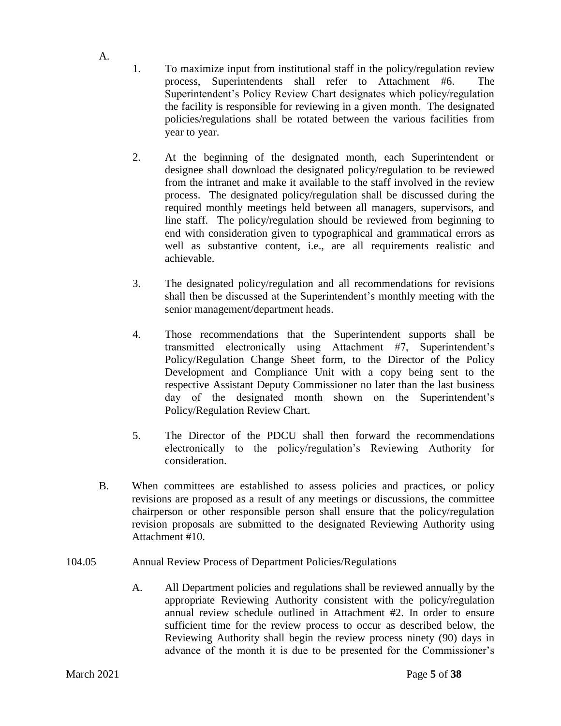- 1. To maximize input from institutional staff in the policy/regulation review process, Superintendents shall refer to Attachment #6. The Superintendent's Policy Review Chart designates which policy/regulation the facility is responsible for reviewing in a given month. The designated policies/regulations shall be rotated between the various facilities from year to year.
- 2. At the beginning of the designated month, each Superintendent or designee shall download the designated policy/regulation to be reviewed from the intranet and make it available to the staff involved in the review process. The designated policy/regulation shall be discussed during the required monthly meetings held between all managers, supervisors, and line staff. The policy/regulation should be reviewed from beginning to end with consideration given to typographical and grammatical errors as well as substantive content, i.e., are all requirements realistic and achievable.
- 3. The designated policy/regulation and all recommendations for revisions shall then be discussed at the Superintendent's monthly meeting with the senior management/department heads.
- 4. Those recommendations that the Superintendent supports shall be transmitted electronically using Attachment #7, Superintendent's Policy/Regulation Change Sheet form, to the Director of the Policy Development and Compliance Unit with a copy being sent to the respective Assistant Deputy Commissioner no later than the last business day of the designated month shown on the Superintendent's Policy/Regulation Review Chart.
- 5. The Director of the PDCU shall then forward the recommendations electronically to the policy/regulation's Reviewing Authority for consideration.
- B. When committees are established to assess policies and practices, or policy revisions are proposed as a result of any meetings or discussions, the committee chairperson or other responsible person shall ensure that the policy/regulation revision proposals are submitted to the designated Reviewing Authority using Attachment #10.

# 104.05 Annual Review Process of Department Policies/Regulations

A. All Department policies and regulations shall be reviewed annually by the appropriate Reviewing Authority consistent with the policy/regulation annual review schedule outlined in Attachment #2. In order to ensure sufficient time for the review process to occur as described below, the Reviewing Authority shall begin the review process ninety (90) days in advance of the month it is due to be presented for the Commissioner's

A.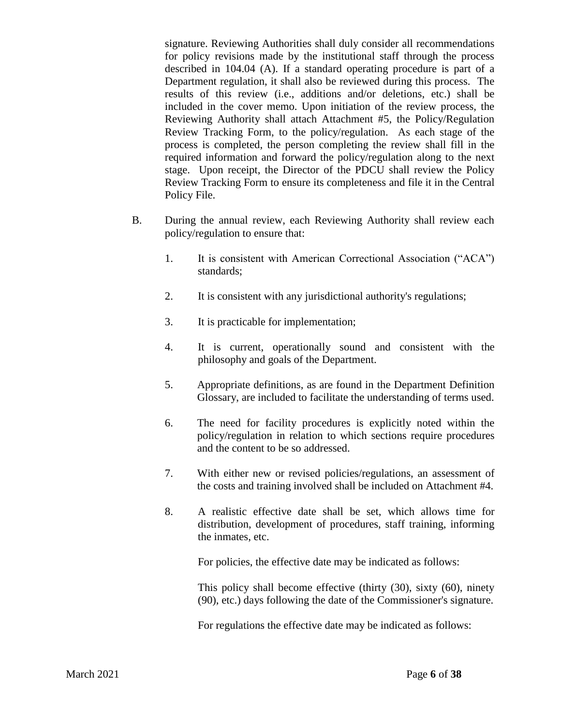signature. Reviewing Authorities shall duly consider all recommendations for policy revisions made by the institutional staff through the process described in 104.04 (A). If a standard operating procedure is part of a Department regulation, it shall also be reviewed during this process. The results of this review (i.e., additions and/or deletions, etc.) shall be included in the cover memo. Upon initiation of the review process, the Reviewing Authority shall attach Attachment #5, the Policy/Regulation Review Tracking Form, to the policy/regulation. As each stage of the process is completed, the person completing the review shall fill in the required information and forward the policy/regulation along to the next stage. Upon receipt, the Director of the PDCU shall review the Policy Review Tracking Form to ensure its completeness and file it in the Central Policy File.

- B. During the annual review, each Reviewing Authority shall review each policy/regulation to ensure that:
	- 1. It is consistent with American Correctional Association ("ACA") standards;
	- 2. It is consistent with any jurisdictional authority's regulations;
	- 3. It is practicable for implementation;
	- 4. It is current, operationally sound and consistent with the philosophy and goals of the Department.
	- 5. Appropriate definitions, as are found in the Department Definition Glossary, are included to facilitate the understanding of terms used.
	- 6. The need for facility procedures is explicitly noted within the policy/regulation in relation to which sections require procedures and the content to be so addressed.
	- 7. With either new or revised policies/regulations, an assessment of the costs and training involved shall be included on Attachment #4.
	- 8. A realistic effective date shall be set, which allows time for distribution, development of procedures, staff training, informing the inmates, etc.

For policies, the effective date may be indicated as follows:

This policy shall become effective (thirty (30), sixty (60), ninety (90), etc.) days following the date of the Commissioner's signature.

For regulations the effective date may be indicated as follows: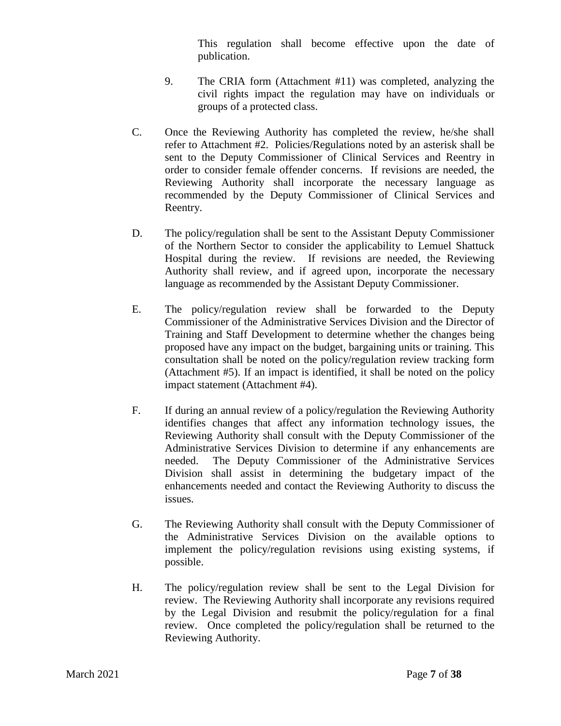This regulation shall become effective upon the date of publication.

- 9. The CRIA form (Attachment #11) was completed, analyzing the civil rights impact the regulation may have on individuals or groups of a protected class.
- C. Once the Reviewing Authority has completed the review, he/she shall refer to Attachment #2. Policies/Regulations noted by an asterisk shall be sent to the Deputy Commissioner of Clinical Services and Reentry in order to consider female offender concerns. If revisions are needed, the Reviewing Authority shall incorporate the necessary language as recommended by the Deputy Commissioner of Clinical Services and Reentry.
- D. The policy/regulation shall be sent to the Assistant Deputy Commissioner of the Northern Sector to consider the applicability to Lemuel Shattuck Hospital during the review. If revisions are needed, the Reviewing Authority shall review, and if agreed upon, incorporate the necessary language as recommended by the Assistant Deputy Commissioner.
- E. The policy/regulation review shall be forwarded to the Deputy Commissioner of the Administrative Services Division and the Director of Training and Staff Development to determine whether the changes being proposed have any impact on the budget, bargaining units or training. This consultation shall be noted on the policy/regulation review tracking form (Attachment #5). If an impact is identified, it shall be noted on the policy impact statement (Attachment #4).
- F. If during an annual review of a policy/regulation the Reviewing Authority identifies changes that affect any information technology issues, the Reviewing Authority shall consult with the Deputy Commissioner of the Administrative Services Division to determine if any enhancements are needed.The Deputy Commissioner of the Administrative Services Division shall assist in determining the budgetary impact of the enhancements needed and contact the Reviewing Authority to discuss the issues.
- G. The Reviewing Authority shall consult with the Deputy Commissioner of the Administrative Services Division on the available options to implement the policy/regulation revisions using existing systems, if possible.
- H. The policy/regulation review shall be sent to the Legal Division for review. The Reviewing Authority shall incorporate any revisions required by the Legal Division and resubmit the policy/regulation for a final review. Once completed the policy/regulation shall be returned to the Reviewing Authority.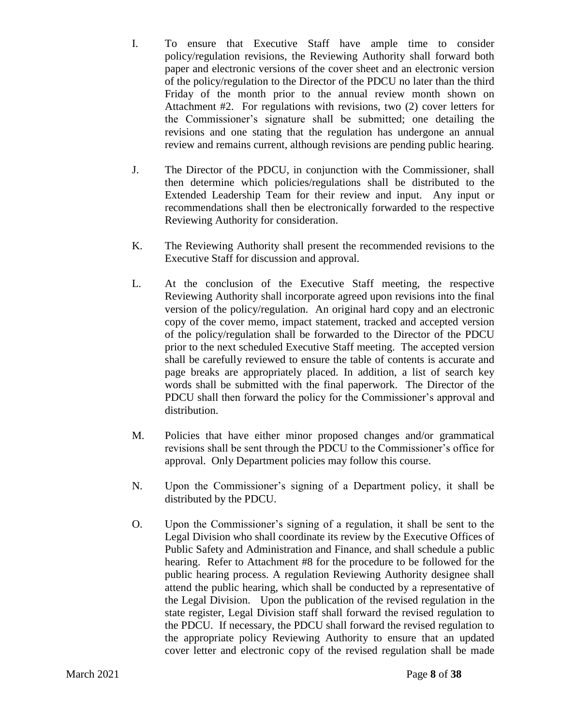- I. To ensure that Executive Staff have ample time to consider policy/regulation revisions, the Reviewing Authority shall forward both paper and electronic versions of the cover sheet and an electronic version of the policy/regulation to the Director of the PDCU no later than the third Friday of the month prior to the annual review month shown on Attachment #2. For regulations with revisions, two (2) cover letters for the Commissioner's signature shall be submitted; one detailing the revisions and one stating that the regulation has undergone an annual review and remains current, although revisions are pending public hearing.
- J. The Director of the PDCU, in conjunction with the Commissioner, shall then determine which policies/regulations shall be distributed to the Extended Leadership Team for their review and input. Any input or recommendations shall then be electronically forwarded to the respective Reviewing Authority for consideration.
- K. The Reviewing Authority shall present the recommended revisions to the Executive Staff for discussion and approval.
- L. At the conclusion of the Executive Staff meeting, the respective Reviewing Authority shall incorporate agreed upon revisions into the final version of the policy/regulation. An original hard copy and an electronic copy of the cover memo, impact statement, tracked and accepted version of the policy/regulation shall be forwarded to the Director of the PDCU prior to the next scheduled Executive Staff meeting. The accepted version shall be carefully reviewed to ensure the table of contents is accurate and page breaks are appropriately placed. In addition, a list of search key words shall be submitted with the final paperwork. The Director of the PDCU shall then forward the policy for the Commissioner's approval and distribution.
- M. Policies that have either minor proposed changes and/or grammatical revisions shall be sent through the PDCU to the Commissioner's office for approval. Only Department policies may follow this course.
- N. Upon the Commissioner's signing of a Department policy, it shall be distributed by the PDCU.
- O. Upon the Commissioner's signing of a regulation, it shall be sent to the Legal Division who shall coordinate its review by the Executive Offices of Public Safety and Administration and Finance, and shall schedule a public hearing. Refer to Attachment #8 for the procedure to be followed for the public hearing process. A regulation Reviewing Authority designee shall attend the public hearing, which shall be conducted by a representative of the Legal Division. Upon the publication of the revised regulation in the state register, Legal Division staff shall forward the revised regulation to the PDCU. If necessary, the PDCU shall forward the revised regulation to the appropriate policy Reviewing Authority to ensure that an updated cover letter and electronic copy of the revised regulation shall be made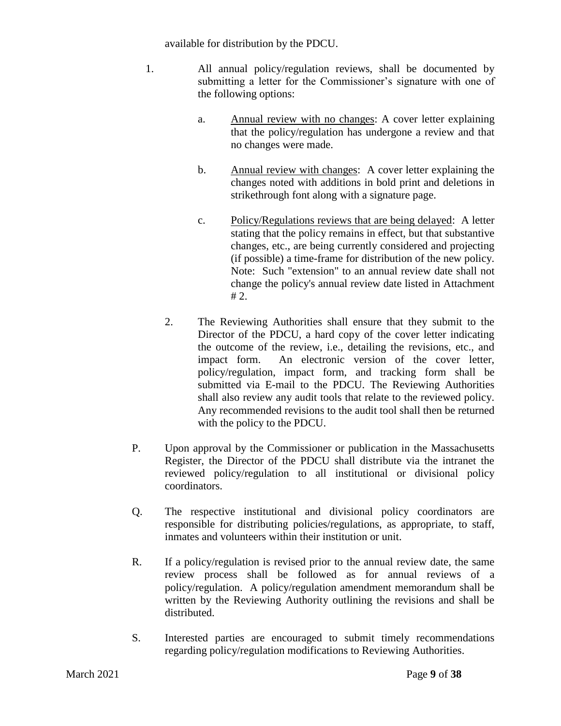available for distribution by the PDCU.

- 1. All annual policy/regulation reviews, shall be documented by submitting a letter for the Commissioner's signature with one of the following options:
	- a. Annual review with no changes: A cover letter explaining that the policy/regulation has undergone a review and that no changes were made.
	- b. Annual review with changes: A cover letter explaining the changes noted with additions in bold print and deletions in strikethrough font along with a signature page.
	- c. Policy/Regulations reviews that are being delayed: A letter stating that the policy remains in effect, but that substantive changes, etc., are being currently considered and projecting (if possible) a time-frame for distribution of the new policy. Note: Such "extension" to an annual review date shall not change the policy's annual review date listed in Attachment # 2.
	- 2. The Reviewing Authorities shall ensure that they submit to the Director of the PDCU, a hard copy of the cover letter indicating the outcome of the review, i.e., detailing the revisions, etc., and impact form. An electronic version of the cover letter, policy/regulation, impact form, and tracking form shall be submitted via E-mail to the PDCU. The Reviewing Authorities shall also review any audit tools that relate to the reviewed policy. Any recommended revisions to the audit tool shall then be returned with the policy to the PDCU.
- P. Upon approval by the Commissioner or publication in the Massachusetts Register, the Director of the PDCU shall distribute via the intranet the reviewed policy/regulation to all institutional or divisional policy coordinators.
- Q. The respective institutional and divisional policy coordinators are responsible for distributing policies/regulations, as appropriate, to staff, inmates and volunteers within their institution or unit.
- R. If a policy/regulation is revised prior to the annual review date, the same review process shall be followed as for annual reviews of a policy/regulation. A policy/regulation amendment memorandum shall be written by the Reviewing Authority outlining the revisions and shall be distributed.
- S. Interested parties are encouraged to submit timely recommendations regarding policy/regulation modifications to Reviewing Authorities.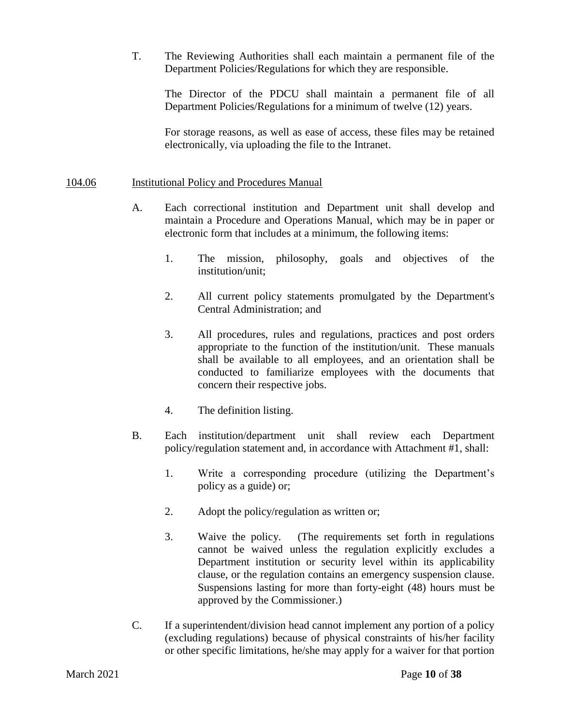T. The Reviewing Authorities shall each maintain a permanent file of the Department Policies/Regulations for which they are responsible.

The Director of the PDCU shall maintain a permanent file of all Department Policies/Regulations for a minimum of twelve (12) years.

For storage reasons, as well as ease of access, these files may be retained electronically, via uploading the file to the Intranet.

### 104.06 Institutional Policy and Procedures Manual

- A. Each correctional institution and Department unit shall develop and maintain a Procedure and Operations Manual, which may be in paper or electronic form that includes at a minimum, the following items:
	- 1. The mission, philosophy, goals and objectives of the institution/unit;
	- 2. All current policy statements promulgated by the Department's Central Administration; and
	- 3. All procedures, rules and regulations, practices and post orders appropriate to the function of the institution/unit. These manuals shall be available to all employees, and an orientation shall be conducted to familiarize employees with the documents that concern their respective jobs.
	- 4. The definition listing.
- B. Each institution/department unit shall review each Department policy/regulation statement and, in accordance with Attachment #1, shall:
	- 1. Write a corresponding procedure (utilizing the Department's policy as a guide) or;
	- 2. Adopt the policy/regulation as written or;
	- 3. Waive the policy. (The requirements set forth in regulations cannot be waived unless the regulation explicitly excludes a Department institution or security level within its applicability clause, or the regulation contains an emergency suspension clause. Suspensions lasting for more than forty-eight (48) hours must be approved by the Commissioner.)
- C. If a superintendent/division head cannot implement any portion of a policy (excluding regulations) because of physical constraints of his/her facility or other specific limitations, he/she may apply for a waiver for that portion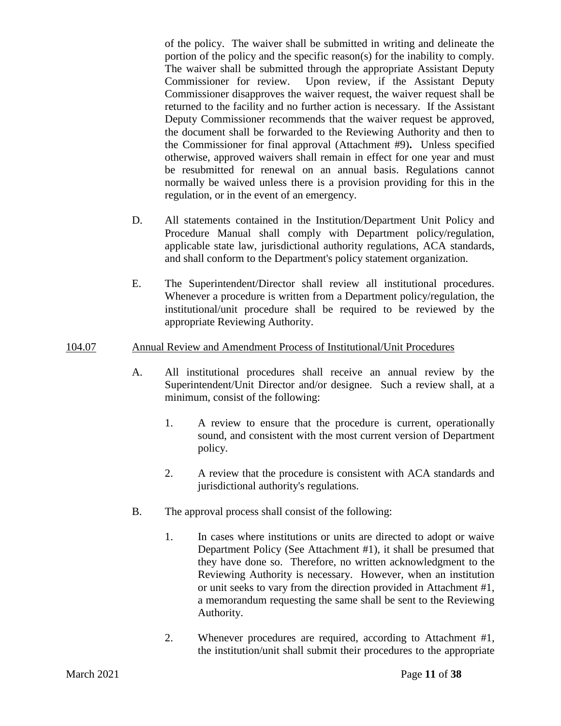of the policy. The waiver shall be submitted in writing and delineate the portion of the policy and the specific reason(s) for the inability to comply. The waiver shall be submitted through the appropriate Assistant Deputy Commissioner for review. Upon review, if the Assistant Deputy Commissioner disapproves the waiver request, the waiver request shall be returned to the facility and no further action is necessary. If the Assistant Deputy Commissioner recommends that the waiver request be approved, the document shall be forwarded to the Reviewing Authority and then to the Commissioner for final approval (Attachment #9)**.** Unless specified otherwise, approved waivers shall remain in effect for one year and must be resubmitted for renewal on an annual basis. Regulations cannot normally be waived unless there is a provision providing for this in the regulation, or in the event of an emergency.

- D. All statements contained in the Institution/Department Unit Policy and Procedure Manual shall comply with Department policy/regulation, applicable state law, jurisdictional authority regulations, ACA standards, and shall conform to the Department's policy statement organization.
- E. The Superintendent/Director shall review all institutional procedures. Whenever a procedure is written from a Department policy/regulation, the institutional/unit procedure shall be required to be reviewed by the appropriate Reviewing Authority.

### 104.07 Annual Review and Amendment Process of Institutional/Unit Procedures

- A. All institutional procedures shall receive an annual review by the Superintendent/Unit Director and/or designee. Such a review shall, at a minimum, consist of the following:
	- 1. A review to ensure that the procedure is current, operationally sound, and consistent with the most current version of Department policy.
	- 2. A review that the procedure is consistent with ACA standards and jurisdictional authority's regulations.
- B. The approval process shall consist of the following:
	- 1. In cases where institutions or units are directed to adopt or waive Department Policy (See Attachment #1), it shall be presumed that they have done so. Therefore, no written acknowledgment to the Reviewing Authority is necessary. However, when an institution or unit seeks to vary from the direction provided in Attachment #1, a memorandum requesting the same shall be sent to the Reviewing Authority.
	- 2. Whenever procedures are required, according to Attachment #1, the institution/unit shall submit their procedures to the appropriate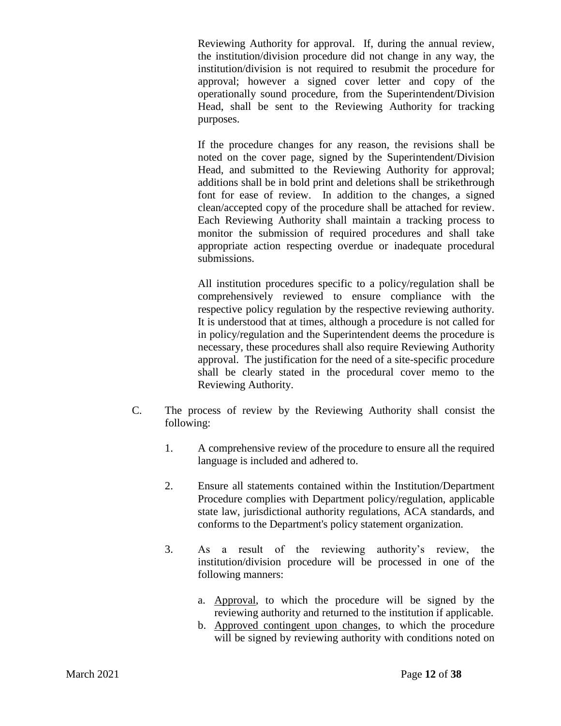Reviewing Authority for approval. If, during the annual review, the institution/division procedure did not change in any way, the institution/division is not required to resubmit the procedure for approval; however a signed cover letter and copy of the operationally sound procedure, from the Superintendent/Division Head, shall be sent to the Reviewing Authority for tracking purposes.

If the procedure changes for any reason, the revisions shall be noted on the cover page, signed by the Superintendent/Division Head, and submitted to the Reviewing Authority for approval; additions shall be in bold print and deletions shall be strikethrough font for ease of review. In addition to the changes, a signed clean/accepted copy of the procedure shall be attached for review. Each Reviewing Authority shall maintain a tracking process to monitor the submission of required procedures and shall take appropriate action respecting overdue or inadequate procedural submissions.

All institution procedures specific to a policy/regulation shall be comprehensively reviewed to ensure compliance with the respective policy regulation by the respective reviewing authority. It is understood that at times, although a procedure is not called for in policy/regulation and the Superintendent deems the procedure is necessary, these procedures shall also require Reviewing Authority approval. The justification for the need of a site-specific procedure shall be clearly stated in the procedural cover memo to the Reviewing Authority.

- C. The process of review by the Reviewing Authority shall consist the following:
	- 1. A comprehensive review of the procedure to ensure all the required language is included and adhered to.
	- 2. Ensure all statements contained within the Institution/Department Procedure complies with Department policy/regulation, applicable state law, jurisdictional authority regulations, ACA standards, and conforms to the Department's policy statement organization.
	- 3. As a result of the reviewing authority's review, the institution/division procedure will be processed in one of the following manners:
		- a. Approval, to which the procedure will be signed by the reviewing authority and returned to the institution if applicable.
		- b. Approved contingent upon changes, to which the procedure will be signed by reviewing authority with conditions noted on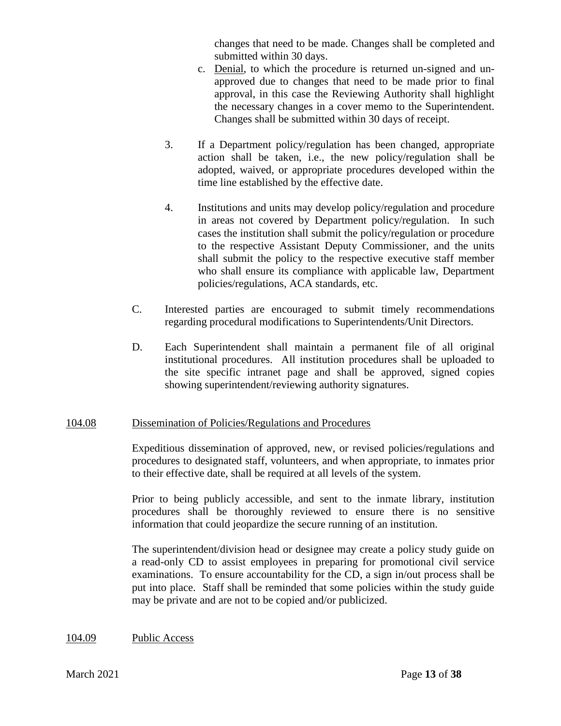changes that need to be made. Changes shall be completed and submitted within 30 days.

- c. Denial, to which the procedure is returned un-signed and unapproved due to changes that need to be made prior to final approval, in this case the Reviewing Authority shall highlight the necessary changes in a cover memo to the Superintendent. Changes shall be submitted within 30 days of receipt.
- 3. If a Department policy/regulation has been changed, appropriate action shall be taken, i.e., the new policy/regulation shall be adopted, waived, or appropriate procedures developed within the time line established by the effective date.
- 4. Institutions and units may develop policy/regulation and procedure in areas not covered by Department policy/regulation. In such cases the institution shall submit the policy/regulation or procedure to the respective Assistant Deputy Commissioner, and the units shall submit the policy to the respective executive staff member who shall ensure its compliance with applicable law, Department policies/regulations, ACA standards, etc.
- C. Interested parties are encouraged to submit timely recommendations regarding procedural modifications to Superintendents/Unit Directors.
- D. Each Superintendent shall maintain a permanent file of all original institutional procedures. All institution procedures shall be uploaded to the site specific intranet page and shall be approved, signed copies showing superintendent/reviewing authority signatures.

## 104.08 Dissemination of Policies/Regulations and Procedures

Expeditious dissemination of approved, new, or revised policies/regulations and procedures to designated staff, volunteers, and when appropriate, to inmates prior to their effective date, shall be required at all levels of the system.

Prior to being publicly accessible, and sent to the inmate library, institution procedures shall be thoroughly reviewed to ensure there is no sensitive information that could jeopardize the secure running of an institution.

The superintendent/division head or designee may create a policy study guide on a read-only CD to assist employees in preparing for promotional civil service examinations. To ensure accountability for the CD, a sign in/out process shall be put into place. Staff shall be reminded that some policies within the study guide may be private and are not to be copied and/or publicized.

104.09 Public Access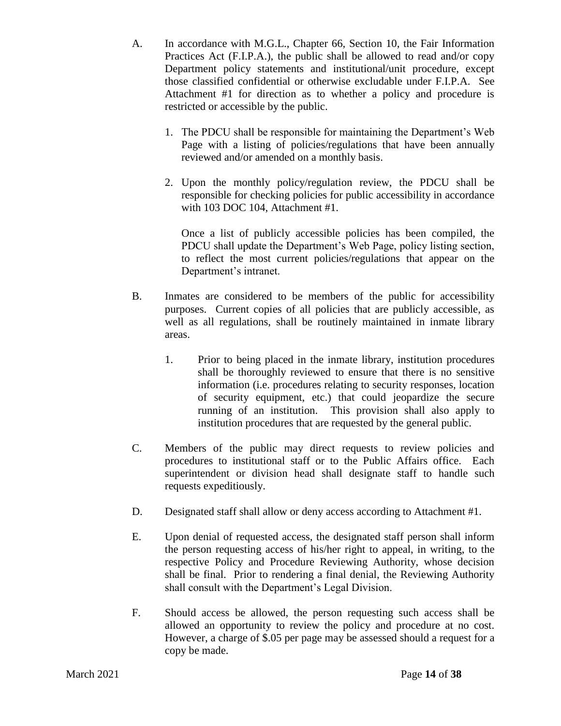- A. In accordance with M.G.L., Chapter 66, Section 10, the Fair Information Practices Act (F.I.P.A.), the public shall be allowed to read and/or copy Department policy statements and institutional/unit procedure, except those classified confidential or otherwise excludable under F.I.P.A. See Attachment #1 for direction as to whether a policy and procedure is restricted or accessible by the public.
	- 1. The PDCU shall be responsible for maintaining the Department's Web Page with a listing of policies/regulations that have been annually reviewed and/or amended on a monthly basis.
	- 2. Upon the monthly policy/regulation review, the PDCU shall be responsible for checking policies for public accessibility in accordance with 103 DOC 104, Attachment #1.

Once a list of publicly accessible policies has been compiled, the PDCU shall update the Department's Web Page, policy listing section, to reflect the most current policies/regulations that appear on the Department's intranet.

- B. Inmates are considered to be members of the public for accessibility purposes. Current copies of all policies that are publicly accessible, as well as all regulations, shall be routinely maintained in inmate library areas.
	- 1. Prior to being placed in the inmate library, institution procedures shall be thoroughly reviewed to ensure that there is no sensitive information (i.e. procedures relating to security responses, location of security equipment, etc.) that could jeopardize the secure running of an institution. This provision shall also apply to institution procedures that are requested by the general public.
- C. Members of the public may direct requests to review policies and procedures to institutional staff or to the Public Affairs office. Each superintendent or division head shall designate staff to handle such requests expeditiously.
- D. Designated staff shall allow or deny access according to Attachment #1.
- E. Upon denial of requested access, the designated staff person shall inform the person requesting access of his/her right to appeal, in writing, to the respective Policy and Procedure Reviewing Authority, whose decision shall be final. Prior to rendering a final denial, the Reviewing Authority shall consult with the Department's Legal Division.
- F. Should access be allowed, the person requesting such access shall be allowed an opportunity to review the policy and procedure at no cost. However, a charge of \$.05 per page may be assessed should a request for a copy be made.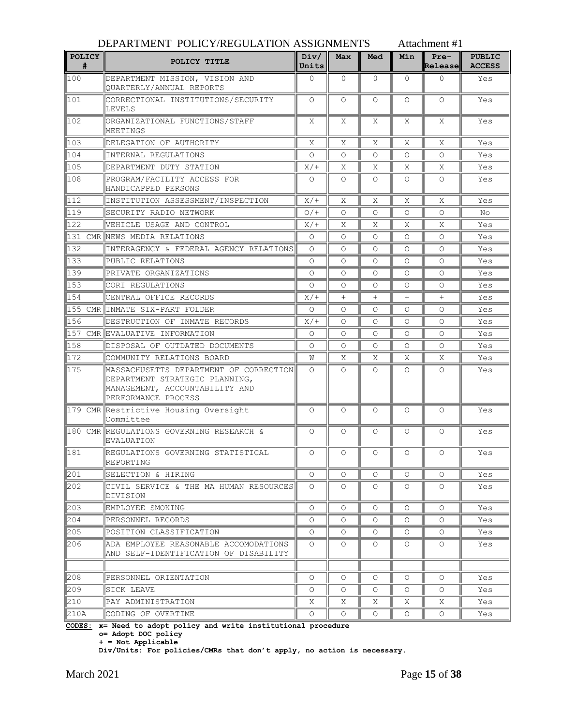|                    | DEPARTMENT POLICY/REGULATION ASSIGNMENTS                                                                                          |               |            |         | Attachment #1 |                   |                                |
|--------------------|-----------------------------------------------------------------------------------------------------------------------------------|---------------|------------|---------|---------------|-------------------|--------------------------------|
| <b>POLICY</b><br># | POLICY TITLE                                                                                                                      | Div/<br>Units | <b>Max</b> | Med     | Min           | $Pre-$<br>Release | <b>PUBLIC</b><br><b>ACCESS</b> |
| 100                | DEPARTMENT MISSION, VISION AND<br>OUARTERLY/ANNUAL REPORTS                                                                        | 0             | $\Omega$   | 0       | $\Omega$      | 0                 | Yes                            |
| $\parallel$ 101    | CORRECTIONAL INSTITUTIONS/SECURITY<br>LEVELS                                                                                      | $\Omega$      | $\circ$    | $\circ$ | $\circ$       | $\Omega$          | Yes                            |
| $\parallel$ 102    | ORGANIZATIONAL FUNCTIONS/STAFF<br>MEETINGS                                                                                        | Χ             | Χ          | Χ       | Χ             | X                 | Yes                            |
| 103                | DELEGATION OF AUTHORITY                                                                                                           | X             | Χ          | X       | X             | Χ                 | Yes                            |
| 104                | INTERNAL REGULATIONS                                                                                                              | $\Omega$      | $\Omega$   | 0       | $\Omega$      | $\Omega$          | Yes                            |
| I105               | DEPARTMENT DUTY STATION                                                                                                           | $X/$ +        | X          | X       | X             | X                 | Yes                            |
| 108                | PROGRAM/FACILITY ACCESS FOR<br>HANDICAPPED PERSONS                                                                                | $\circ$       | $\circ$    | Ω       | $\Omega$      | $\Omega$          | Yes                            |
| $\parallel$ 12     | INSTITUTION ASSESSMENT/INSPECTION                                                                                                 | $X/$ +        | X          | Χ       | Χ             | Χ                 | Yes                            |
| ll 19              | SECURITY RADIO NETWORK                                                                                                            | $O/$ +        | 0          | 0       | $\Omega$      | $\circ$           | No                             |
| 122                | VEHICLE USAGE AND CONTROL                                                                                                         | X/            | Χ          | X       | Χ             | X                 | Yes                            |
| 131                | CMR NEWS MEDIA RELATIONS                                                                                                          | $\circ$       | 0          | O       | $\Omega$      | $\Omega$          | Yes                            |
| 132                | INTERAGENCY & FEDERAL AGENCY RELATIONS                                                                                            | $\Omega$      | O          | Ω       | $\Omega$      | 0                 | Yes                            |
| 133                | PUBLIC RELATIONS                                                                                                                  | $\Omega$      | O          | Ω       | $\Omega$      | O                 | Yes                            |
| 139                | PRIVATE ORGANIZATIONS                                                                                                             | Ω             | $\circ$    | 0       | $\Omega$      | $\Omega$          | Yes                            |
| 153                | CORI REGULATIONS                                                                                                                  | $\Omega$      | $\Omega$   | Ω       | $\Omega$      | $\Omega$          | Yes                            |
| 154                | CENTRAL OFFICE RECORDS                                                                                                            | X/            | $+$        | $^{+}$  | $+$           | $^{+}$            | Yes                            |
| 155                | CMR INMATE SIX-PART FOLDER                                                                                                        | O             | O          | O       | $\circ$       | 0                 | Yes                            |
| 156                | DESTRUCTION OF INMATE RECORDS                                                                                                     | X/            | O          | O       | $\Omega$      | $\circ$           | Yes                            |
|                    | 157 CMR EVALUATIVE INFORMATION                                                                                                    | $\circ$       | 0          | 0       | $\circ$       | $\Omega$          | Yes                            |
| 158                | DISPOSAL OF OUTDATED DOCUMENTS                                                                                                    | $\Omega$      | $\Omega$   | 0       | $\Omega$      | $\Omega$          | Yes                            |
| $\parallel$ 172    | COMMUNITY RELATIONS BOARD                                                                                                         | W             | Χ          | Χ       | Χ             | Χ                 | Yes                            |
| 175                | MASSACHUSETTS DEPARTMENT OF CORRECTION<br>DEPARTMENT STRATEGIC PLANNING,<br>MANAGEMENT, ACCOUNTABILITY AND<br>PERFORMANCE PROCESS | $\Omega$      | 0          | Ω       | $\Omega$      | 0                 | Yes                            |
|                    | 179 CMR Restrictive Housing Oversight<br>Committee                                                                                | $\circ$       | 0          | O       | O             | O                 | Yes                            |
|                    | 180 CMR REGULATIONS GOVERNING RESEARCH &<br><b>EVALUATION</b>                                                                     | $\Omega$      | O          | O       | 0             | O                 | Yes                            |
| $\ 181$            | REGULATIONS GOVERNING STATISTICAL<br>REPORTING                                                                                    | 0             | 0          | $\circ$ | $\circ$       | O                 | Yes                            |
| 201                | SELECTION & HIRING                                                                                                                | $\circ$       | $\circ$    | $\circ$ | $\circ$       | 0                 | Yes                            |
| 202                | CIVIL SERVICE & THE MA HUMAN RESOURCES<br>DIVISION                                                                                | $\circ$       | $\circ$    | 0       | $\circ$       | 0                 | Yes                            |
| $\parallel$ 203    | EMPLOYEE SMOKING                                                                                                                  | $\circ$       | $\circ$    | $\circ$ | $\circ$       | 0                 | Yes                            |
| $\ 204$            | PERSONNEL RECORDS                                                                                                                 | O             | 0          | 0       | $\circ$       | $\circ$           | Yes                            |
| 205                | POSITION CLASSIFICATION                                                                                                           | $\circ$       | O          | $\circ$ | $\circ$       | $\circ$           | Yes                            |
| 206                | ADA EMPLOYEE REASONABLE ACCOMODATIONS<br>AND SELF-IDENTIFICATION OF DISABILITY                                                    | $\circ$       | $\circ$    | 0       | $\circ$       | 0                 | Yes                            |
|                    |                                                                                                                                   |               |            |         |               |                   |                                |
| 208                | PERSONNEL ORIENTATION                                                                                                             | O             | 0          | 0       | $\circ$       | 0                 | Yes                            |
| 209                | SICK LEAVE                                                                                                                        | О             | 0          | 0       | $\circ$       | O                 | Yes                            |
| 210                | PAY ADMINISTRATION                                                                                                                | Χ             | Χ          | Χ       | Χ             | Χ                 | Yes                            |
| 210A               | CODING OF OVERTIME                                                                                                                | О             | 0          | 0       | $\circ$       | O                 | Yes                            |

**CODES: x= Need to adopt policy and write institutional procedure**

**o= Adopt DOC policy**

**+ = Not Applicable**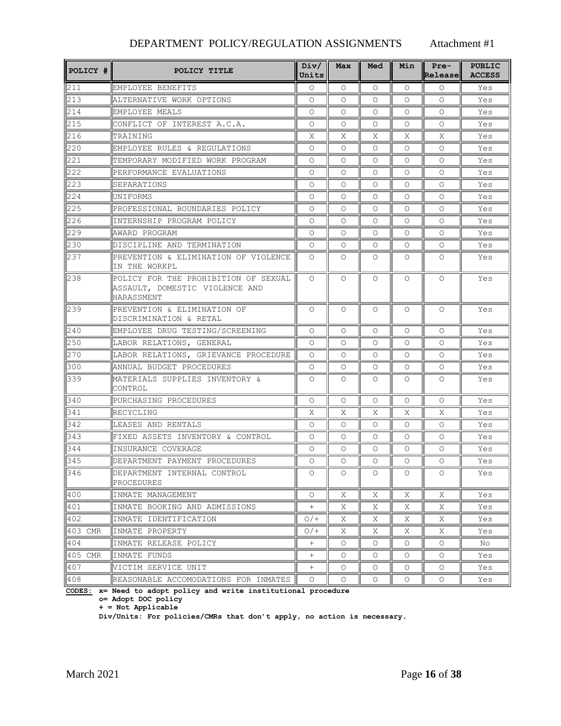| POLICY #        | POLICY TITLE                                                                         | Div/<br>Units | Max      | Med        | Min      | $Pre-$<br>Release | <b>PUBLIC</b><br><b>ACCESS</b> |
|-----------------|--------------------------------------------------------------------------------------|---------------|----------|------------|----------|-------------------|--------------------------------|
| 1211            | EMPLOYEE BENEFITS                                                                    | $\Omega$      | $\circ$  | $\circ$    | $\Omega$ | $\Omega$          | Yes                            |
| $\parallel$ 213 | ALTERNATIVE WORK OPTIONS                                                             | $\Omega$      | $\Omega$ | $\bigcirc$ | $\Omega$ | $\Omega$          | Yes                            |
| 1214            | EMPLOYEE MEALS                                                                       | $\Omega$      | $\Omega$ | 0          | $\Omega$ | $\Omega$          | Yes                            |
| 215             | CONFLICT OF INTEREST A.C.A.                                                          | 0             | O        | 0          | 0        | 0                 | Yes                            |
| 216             | <b>TRAINING</b>                                                                      | Χ             | X        | X          | X        | X                 | Yes                            |
| 220             | EMPLOYEE RULES & REGULATIONS                                                         | $\circ$       | O        | 0          | 0        | $\Omega$          | Yes                            |
| 221             | TEMPORARY MODIFIED WORK PROGRAM                                                      | $\Omega$      | $\Omega$ | 0          | $\Omega$ | $\Omega$          | Yes                            |
| 222             | PERFORMANCE EVALUATIONS                                                              | $\Omega$      | $\Omega$ | 0          | $\Omega$ | $\Omega$          | Yes                            |
| 223             | SEPARATIONS                                                                          | 0             | 0        | 0          | $\Omega$ | 0                 | Yes                            |
| 224             | UNIFORMS                                                                             | $\circ$       | 0        | $\circ$    | O        | 0                 | Yes                            |
| 225             | PROFESSIONAL BOUNDARIES POLICY                                                       | 0             | O        | 0          | $\Omega$ | 0                 | Yes                            |
| 226             | INTERNSHIP PROGRAM POLICY                                                            | $\Omega$      | $\Omega$ | 0          | $\Omega$ | $\Omega$          | Yes                            |
| 229             | AWARD PROGRAM                                                                        | $\Omega$      | $\Omega$ | 0          | $\Omega$ | 0                 | Yes                            |
| 230             | DISCIPLINE AND TERMINATION                                                           | 0             | 0        | $\circ$    | 0        | 0                 | Yes                            |
| 237             | PREVENTION & ELIMINATION OF VIOLENCE<br>IN THE WORKPL                                | $\circ$       | $\circ$  | $\circ$    | 0        | 0                 | Yes                            |
| 238             | POLICY FOR THE PROHIBITION OF SEXUAL<br>ASSAULT, DOMESTIC VIOLENCE AND<br>HARASSMENT | $\Omega$      | $\Omega$ | $\circ$    | $\Omega$ | 0                 | Yes                            |
| $\mathbb{Z}$ 39 | PREVENTION & ELIMINATION OF<br>DISCRIMINATION & RETAL                                | $\Omega$      | $\Omega$ | $\circ$    | $\Omega$ | $\circ$           | Yes                            |
| 1240            | EMPLOYEE DRUG TESTING/SCREENING                                                      | $\Omega$      | $\Omega$ | 0          | $\Omega$ | $\Omega$          | Yes                            |
| $\parallel$ 250 | LABOR RELATIONS, GENERAL                                                             | $\Omega$      | $\Omega$ | 0          | $\Omega$ | $\Omega$          | Yes                            |
| 270             | LABOR RELATIONS, GRIEVANCE PROCEDURE                                                 | $\Omega$      | 0        | 0          | $\Omega$ | 0                 | Yes                            |
| 300             | ANNUAL BUDGET PROCEDURES                                                             | $\circ$       | O        | $\circ$    | O        | 0                 | Yes                            |
| 339             | MATERIALS SUPPLIES INVENTORY &<br>ICONTROL                                           | $\Omega$      | O        | 0          | 0        | 0                 | Yes                            |
| 340             | PURCHASING PROCEDURES                                                                | $\circ$       | O        | $\Omega$   | $\Omega$ | $\circ$           | Yes                            |
| 341             | RECYCLING                                                                            | X             | X        | X          | Χ        | X                 | Yes                            |
| 342             | LEASES AND RENTALS                                                                   | $\circ$       | $\circ$  | 0          | $\Omega$ | O                 | Yes                            |
| $343$           | FIXED ASSETS INVENTORY & CONTROL                                                     | $\Omega$      | $\Omega$ | 0          | $\Omega$ | 0                 | Yes                            |
| 344             | INSURANCE COVERAGE                                                                   | $\Omega$      | 0        | $\Omega$   | $\Omega$ | O                 | Yes                            |
| 345             | DEPARTMENT PAYMENT PROCEDURES                                                        | $\Omega$      | $\circ$  | $\Omega$   | $\Omega$ | $\Omega$          | Yes                            |
| 346             | DEPARTMENT INTERNAL CONTROL<br>PROCEDURES                                            | O             | 0        | $\circ$    | $\circ$  | O                 | Yes                            |
| 1400            | INMATE MANAGEMENT                                                                    | $\circ$       | Χ        | Χ          | Χ        | Χ                 | Yes                            |
| 401             | INMATE BOOKING AND ADMISSIONS                                                        | $+$           | Χ        | X          | Χ        | X                 | Yes                            |
| 402             | INMATE IDENTIFICATION                                                                | $O/$ +        | Χ        | X          | Χ        | Χ                 | Yes                            |
| 403 CMR         | INMATE PROPERTY                                                                      | $O/$ +        | Χ        | Χ          | Χ        | Χ                 | Yes                            |
| 404             | INMATE RELEASE POLICY                                                                | $^{+}$        | O        | 0          | 0        | O                 | No                             |
| 405 CMR         | INMATE FUNDS                                                                         | $^{+}$        | O        | 0          | 0        | $\circ$           | Yes                            |
| 407             | VICTIM SERVICE UNIT                                                                  | $^{+}$        | O        | 0          | 0        | 0                 | Yes                            |
| 408             | REASONABLE ACCOMODATIONS FOR INMATES                                                 | $\circ$       | О        | 0          | 0        | 0                 | Yes                            |

**CODES: x= Need to adopt policy and write institutional procedure**

**o= Adopt DOC policy**

**+ = Not Applicable**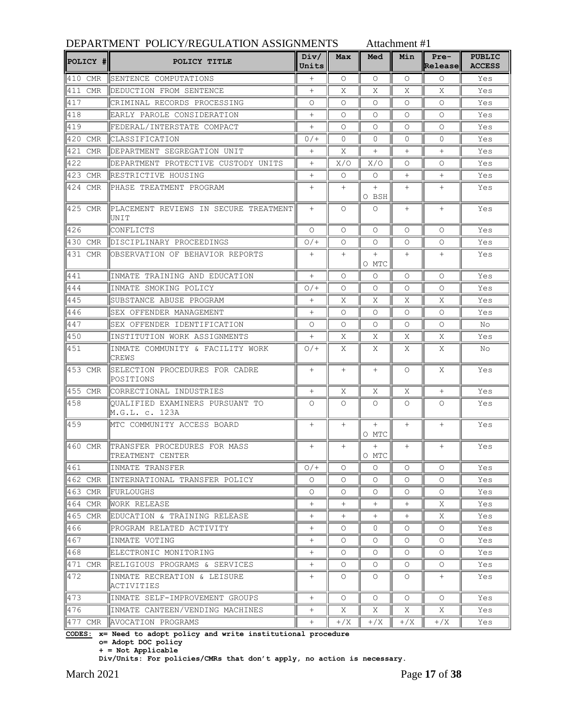| <b>POLICY #I</b> | POLICY TITLE                                      | Div/<br>Units | Max      | Med             | Min      | $Pre-$<br>Release | <b>PUBLIC</b><br><b>ACCESS</b> |
|------------------|---------------------------------------------------|---------------|----------|-----------------|----------|-------------------|--------------------------------|
| 410 CMR          | SENTENCE COMPUTATIONS                             | $+$           | $\circ$  | $\circ$         | $\Omega$ | $\circ$           | Yes                            |
| 411 CMR          | DEDUCTION FROM SENTENCE                           | $+$           | Χ        | Χ               | Χ        | Χ                 | Yes                            |
| 417              | CRIMINAL RECORDS PROCESSING                       | O             | $\Omega$ | $\Omega$        | $\Omega$ | $\Omega$          | Yes                            |
| 418              | EARLY PAROLE CONSIDERATION                        | $^{+}$        | O        | 0               | $\circ$  | O                 | Yes                            |
| 419              | FEDERAL/INTERSTATE COMPACT                        | $^{+}$        | $\circ$  | $\Omega$        | $\Omega$ | $\Omega$          | Yes                            |
| 420 CMR          | CLASSIFICATION                                    | $0/$ +        | $\Omega$ | $\Omega$        | $\Omega$ | $\Omega$          | Yes                            |
| 421 CMR          | DEPARTMENT SEGREGATION UNIT                       | $^{+}$        | Χ        | $^{+}$          | $^{+}$   | $+$               | Yes                            |
| 422              | DEPARTMENT PROTECTIVE CUSTODY UNITS               | $^{+}$        | X/O      | X/O             | $\Omega$ | O                 | Yes                            |
| 423 CMR          | RESTRICTIVE HOUSING                               | $^{+}$        | $\circ$  | $\circ$         | $^{+}$   | $^{+}$            | Yes                            |
| 424 CMR          | PHASE TREATMENT PROGRAM                           | $^{+}$        | $^{+}$   | $^{+}$          | $^{+}$   | $^{+}$            | Yes                            |
|                  |                                                   |               |          | O BSH           |          |                   |                                |
| 425 CMR          | PLACEMENT REVIEWS IN SECURE TREATMENT<br>UNIT     | $+$           | 0        | 0               | $^{+}$   | $^{+}$            | Yes                            |
| 426              | CONFLICTS                                         | Ω             | $\Omega$ | $\Omega$        | $\Omega$ | O                 | Yes                            |
| 430 CMR          | DISCIPLINARY PROCEEDINGS                          | $O/$ +        | $\circ$  | $\Omega$        | $\Omega$ | $\Omega$          | Yes                            |
| 431 CMR          | OBSERVATION OF BEHAVIOR REPORTS                   | $+$           | $+$      | $+$<br>O MTC    | $^{+}$   | $+$               | Yes                            |
| 1441             | INMATE TRAINING AND EDUCATION                     | $+$           | $\Omega$ | $\Omega$        | $\Omega$ | $\Omega$          | Yes                            |
| 444              | INMATE SMOKING POLICY                             | $O/$ +        | $\Omega$ | $\Omega$        | $\circ$  | Ω                 | Yes                            |
| 445              | SUBSTANCE ABUSE PROGRAM                           | $^{+}$        | Χ        | Χ               | Χ        | X                 | Yes                            |
| 446              | SEX OFFENDER MANAGEMENT                           | $^{+}$        | $\Omega$ | $\Omega$        | $\Omega$ | $\Omega$          | Yes                            |
| 447              | SEX OFFENDER IDENTIFICATION                       | O             | 0        | $\Omega$        | $\Omega$ | O                 | No.                            |
| 450              | INSTITUTION WORK ASSIGNMENTS                      | $^{+}$        | X        | X               | Χ        | X                 | Yes                            |
| 451              | INMATE COMMUNITY & FACILITY WORK<br>CREWS         | $O/$ +        | X        | X               | X        | X                 | No                             |
| 453 CMR          | SELECTION PROCEDURES FOR CADRE<br>POSITIONS       | $^{+}$        | $+$      | $^{+}$          | $\Omega$ | Χ                 | Yes                            |
| 455 CMR          | CORRECTIONAL INDUSTRIES                           | $^{+}$        | Χ        | Χ               | Χ        | $^{+}$            | Yes                            |
| 458              | OUALIFIED EXAMINERS PURSUANT TO<br>M.G.L. c. 123A | O             | 0        | 0               | $\circ$  | O                 | Yes                            |
| 459              | MTC COMMUNITY ACCESS BOARD                        | $^{+}$        | $+$      | $+$<br>O MTC    | $+$      | $+$               | Yes                            |
| 460 CMR          | TRANSFER PROCEDURES FOR MASS<br>TREATMENT CENTER  | $^{+}$        | $^{+}$   | $^{+}$<br>O MTC | $^{+}$   | $^{+}$            | Yes                            |
| 461              | INMATE TRANSFER                                   | $O/$ +        | $\circ$  | 0               | $\circ$  | 0                 | Yes                            |
| 462 CMR          | INTERNATIONAL TRANSFER POLICY                     | $\circ$       | $\Omega$ | 0               | $\Omega$ | $\circ$           | Yes                            |
| 463 CMR          | FURLOUGHS                                         | 0             | 0        | 0               | $\circ$  | 0                 | Yes                            |
| 464 CMR          | WORK RELEASE                                      | $^{+}$        | $^{+}$   | $^{+}$          | $^{+}$   | Χ                 | Yes                            |
| 465 CMR          | EDUCATION & TRAINING RELEASE                      | $^{+}$        | $^{+}$   | $^{+}$          | $^{+}$   | Χ                 | Yes                            |
| 466              | PROGRAM RELATED ACTIVITY                          | $^{+}$        | $\circ$  | 0               | $\circ$  | $\circ$           | Yes                            |
| 467              | INMATE VOTING                                     | $^{+}$        | $\Omega$ | 0               | $\Omega$ | $\circ$           | Yes                            |
| 468              | ELECTRONIC MONITORING                             | $^{+}$        | $\Omega$ | 0               | $\circ$  | 0                 | Yes                            |
| 471 CMR          | RELIGIOUS PROGRAMS & SERVICES                     | $^{+}$        | $\circ$  | $\circ$         | $\circ$  | 0                 | Yes                            |
| 472              | INMATE RECREATION & LEISURE                       | $^{+}$        | $\circ$  | $\circ$         | $\circ$  | $+$               | Yes                            |
|                  | ACTIVITIES                                        |               |          |                 |          |                   |                                |
| 473              | INMATE SELF-IMPROVEMENT GROUPS                    | $^{+}$        | $\circ$  | $\circ$         | $\circ$  | $\circ$           | Yes                            |
| 476              | INMATE CANTEEN/VENDING MACHINES                   | $^{+}$        | Χ        | X               | Χ        | Χ                 | Yes                            |
| 477 CMR          | AVOCATION PROGRAMS                                | $^{+}$        | $+$ /X   | $+$ /X          | $+$ /X   | $+$ /X            | Yes                            |

**CODES: x= Need to adopt policy and write institutional procedure**

**o= Adopt DOC policy**

**+ = Not Applicable**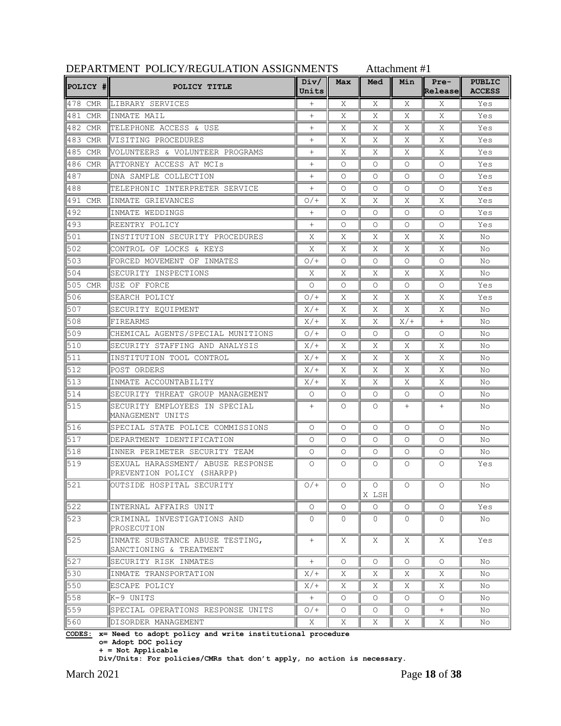| POLICY #           | POLICY TITLE                                                    | Div/<br>Units | Max      | Med              | Min      | Pre-<br>Release | <b>PUBLIC</b><br><b>ACCESS</b> |
|--------------------|-----------------------------------------------------------------|---------------|----------|------------------|----------|-----------------|--------------------------------|
| 478 CMR            | LIBRARY SERVICES                                                | $+$           | Χ        | X                | Χ        | Χ               | Yes                            |
| 481<br><b>CMR</b>  | INMATE MAIL                                                     | $^{+}$        | X        | X                | Χ        | Χ               | Yes                            |
| 1482 CMR           | TELEPHONE ACCESS & USE                                          | $+$           | Χ        | X                | Χ        | X               | Yes                            |
| 483 CMR            | VISITING PROCEDURES                                             | $^{+}$        | Χ        | X                | Χ        | X               | Yes                            |
| l485<br><b>CMR</b> | VOLUNTEERS & VOLUNTEER PROGRAMS                                 | $^{+}$        | Χ        | Χ                | Χ        | Χ               | Yes                            |
| 486<br>CMR         | ATTORNEY ACCESS AT MCIS                                         | $^{+}$        | $\Omega$ | Ω                | $\Omega$ | $\Omega$        | Yes                            |
| 487                | DNA SAMPLE COLLECTION                                           | $^{+}$        | $\Omega$ | Ω                | $\Omega$ | $\Omega$        | Yes                            |
| 488                | TELEPHONIC INTERPRETER SERVICE                                  | $+$           | $\Omega$ | 0                | O        | O               | Yes                            |
| 491 CMR            | INMATE GRIEVANCES                                               | $O/$ +        | Χ        | X                | Χ        | X               | Yes                            |
| l4 9 2             | INMATE WEDDINGS                                                 | $^{+}$        | $\Omega$ | $\Omega$         | $\Omega$ | $\Omega$        | Yes                            |
| 493                | REENTRY POLICY                                                  | $^{+}$        | $\Omega$ | Ω                | $\Omega$ | $\Omega$        | Yes                            |
| 501                | INSTITUTION SECURITY PROCEDURES                                 | Χ             | Χ        | X                | Χ        | Χ               | No                             |
| 502                | CONTROL OF LOCKS & KEYS                                         | Χ             | Χ        | X                | Χ        | X               | No                             |
| 503                | FORCED MOVEMENT OF INMATES                                      | $O/$ +        | $\Omega$ | O                | O        | $\circ$         | No                             |
| 504                | SECURITY INSPECTIONS                                            | Χ             | Χ        | Χ                | Χ        | Χ               | No                             |
| 505 CMR            | USE OF FORCE                                                    | $\Omega$      | $\Omega$ | O                | $\Omega$ | $\Omega$        | Yes                            |
| 506                | SEARCH POLICY                                                   | $O/$ +        | Χ        | X                | Χ        | Χ               | Yes                            |
| I507               | SECURITY EQUIPMENT                                              | X/            | Χ        | X                | Χ        | Χ               | No                             |
| 508                | FIREARMS                                                        | X/            | X        | Χ                | X/       | $+$             | No                             |
| 509                | CHEMICAL AGENTS/SPECIAL MUNITIONS                               | $O/$ +        | $\Omega$ | $\Omega$         | $\circ$  | $\circ$         | No                             |
| 510                | SECURITY STAFFING AND ANALYSIS                                  | X/            | Χ        | Χ                | Χ        | Χ               | No                             |
| 511                | INSTITUTION TOOL CONTROL                                        | X/            | Χ        | X                | Χ        | Χ               | No                             |
| 512                | POST ORDERS                                                     | X/            | Χ        | X                | Χ        | X               | No                             |
| 513                | INMATE ACCOUNTABILITY                                           | X/            | Χ        | X                | Χ        | X               | No                             |
| 514                | SECURITY THREAT GROUP MANAGEMENT                                | $\circ$       | $\circ$  | Ω                | O        | O               | No                             |
| 515                | SECURITY EMPLOYEES IN SPECIAL<br>MANAGEMENT UNITS               | $+$           | $\Omega$ | Ω                | $^{+}$   | $+$             | No                             |
| 1516               | SPECIAL STATE POLICE COMMISSIONS                                | $\circ$       | $\circ$  | $\Omega$         | $\circ$  | $\circ$         | No                             |
| 517                | DEPARTMENT IDENTIFICATION                                       | O             | $\Omega$ | Ω                | O        | $\Omega$        | No                             |
| 518                | INNER PERIMETER SECURITY TEAM                                   | O             | $\Omega$ | Ω                | O        | O               | No                             |
| 519                | SEXUAL HARASSMENT/ ABUSE RESPONSE<br>PREVENTION POLICY (SHARPP) | O             | $\Omega$ | Ω                | O        | O               | Yes                            |
| $\overline{521}$   | OUTSIDE HOSPITAL SECURITY                                       | $O/$ +        | Ő        | $\circ$<br>X LSH | Ő        | Ő               | NO.                            |
| 522                | INTERNAL AFFAIRS UNIT                                           | $\circ$       | $\Omega$ | 0                | $\circ$  | 0               | Yes                            |
| 523                | CRIMINAL INVESTIGATIONS AND<br>PROSECUTION                      | 0             | $\Omega$ | 0                | 0        | 0               | No                             |
| 1525               | INMATE SUBSTANCE ABUSE TESTING,<br>SANCTIONING & TREATMENT      | $+$           | X        | Χ                | X        | Χ               | Yes                            |
| 527                | SECURITY RISK INMATES                                           | $^{+}$        | $\circ$  | $\circ$          | 0        | $\circ$         | No                             |
| 530                | INMATE TRANSPORTATION                                           | $X/+$         | Χ        | Χ                | Χ        | Χ               | No                             |
| 550                | ESCAPE POLICY                                                   | X/            | Χ        | Χ                | Χ        | Χ               | No.                            |
| 558                | K-9 UNITS                                                       | $+$           | $\circ$  | 0                | $\circ$  | $\circ$         | No                             |
| 1559               | SPECIAL OPERATIONS RESPONSE UNITS                               | $O/$ +        | $\circ$  | O                | О        | $^{+}$          | No                             |
| 560                | DISORDER MANAGEMENT                                             | Χ             | Χ        | Χ                | Χ        | Χ               | No                             |

**CODES: x= Need to adopt policy and write institutional procedure**

**o= Adopt DOC policy**

**+ = Not Applicable**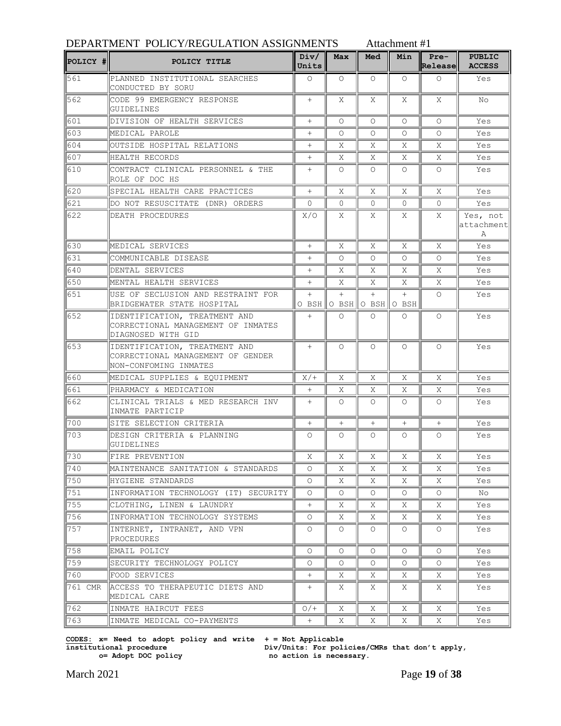| POLICY # | POLICY TITLE                                                                                | Div/<br>Units | Max      | Med                            | Min      | $Pre-$<br>Release | <b>PUBLIC</b><br><b>ACCESS</b>         |
|----------|---------------------------------------------------------------------------------------------|---------------|----------|--------------------------------|----------|-------------------|----------------------------------------|
| 561      | PLANNED INSTITUTIONAL SEARCHES<br>CONDUCTED BY SORU                                         | $\Omega$      | $\Omega$ | $\Omega$                       | $\Omega$ | $\circ$           | Yes                                    |
| 562      | CODE 99 EMERGENCY RESPONSE<br>GUIDELINES                                                    | $+$           | Χ        | X                              | Χ        | X                 | No.                                    |
| 1601     | DIVISION OF HEALTH SERVICES                                                                 | $^{+}$        | Ω        | $\Omega$                       | $\Omega$ | $\Omega$          | Yes                                    |
| 603      | MEDICAL PAROLE                                                                              | $^{+}$        | 0        | $\Omega$                       | $\circ$  | O                 | Yes                                    |
| 1604     | OUTSIDE HOSPITAL RELATIONS                                                                  | $^{+}$        | X        | X                              | X        | X                 | Yes                                    |
| 607      | HEALTH RECORDS                                                                              | $^{+}$        | Χ        | Χ                              | Χ        | Χ                 | Yes                                    |
| 610      | CONTRACT CLINICAL PERSONNEL & THE<br>ROLE OF DOC HS                                         | $^{+}$        | 0        | $\circ$                        | $\circ$  | $\Omega$          | Yes                                    |
| 620      | SPECIAL HEALTH CARE PRACTICES                                                               | $^{+}$        | Χ        | Χ                              | Χ        | Χ                 | Yes                                    |
| 621      | DO NOT RESUSCITATE (DNR) ORDERS                                                             | 0             | 0        | 0                              | $\Omega$ | 0                 | Yes                                    |
| 622      | DEATH PROCEDURES                                                                            | X/O           | X        | Χ                              | Χ        | Χ                 | Yes, not<br>attachment<br>$\mathsf{A}$ |
| 630      | MEDICAL SERVICES                                                                            | $^{+}$        | X        | X                              | X        | X                 | Yes                                    |
| 631      | COMMUNICABLE DISEASE                                                                        | $^{+}$        | Ω        | $\circ$                        | O        | $\circ$           | Yes                                    |
| 640      | DENTAL SERVICES                                                                             | $^{+}$        | X        | Χ                              | Χ        | Χ                 | Yes                                    |
| 650      | MENTAL HEALTH SERVICES                                                                      | $^{+}$        | Χ        | Χ                              | X        | X                 | Yes                                    |
| 651      | USE OF SECLUSION AND RESTRAINT FOR<br>BRIDGEWATER STATE HOSPITAL                            | $^{+}$        | $^{+}$   | $+$<br>O BSH O BSH O BSH O BSH | $+$      | $\Omega$          | Yes                                    |
| 652      | IDENTIFICATION, TREATMENT AND<br>CORRECTIONAL MANAGEMENT OF INMATES<br>DIAGNOSED WITH GID   | $^{+}$        | 0        | $\circ$                        | $\Omega$ | $\Omega$          | Yes                                    |
| 653      | IDENTIFICATION, TREATMENT AND<br>CORRECTIONAL MANAGEMENT OF GENDER<br>NON-CONFOMING INMATES | $^{+}$        | 0        | $\circ$                        | $\Omega$ | $\Omega$          | Yes                                    |
| 660      | MEDICAL SUPPLIES & EQUIPMENT                                                                | $X/+$         | Χ        | X                              | X        | Χ                 | Yes                                    |
| 661      | PHARMACY & MEDICATION                                                                       | $^{+}$        | Χ        | Χ                              | Χ        | Χ                 | Yes                                    |
| 662      | CLINICAL TRIALS & MED RESEARCH INV<br>INMATE PARTICIP                                       | $^{+}$        | Ω        | Ω                              | $\Omega$ | O                 | Yes                                    |
| 700      | SITE SELECTION CRITERIA                                                                     | $^{+}$        | $^{+}$   | $^{+}$                         | $+$      | $^{+}$            | Yes                                    |
| 703      | DESIGN CRITERIA & PLANNING<br>GUIDELINES                                                    | O             | 0        | $\circ$                        | $\circ$  | $\circ$           | Yes                                    |
| 1730     | FIRE PREVENTION                                                                             | Χ             | X        | Χ                              | Χ        | Χ                 | Yes                                    |
| 740      | MAINTENANCE SANITATION & STANDARDS                                                          | 0             | Χ        | X                              | Χ        | Χ                 | Yes                                    |
| 750      | HYGIENE STANDARDS                                                                           | $\circ$       | Χ        | Χ                              | Χ        | Χ                 | Yes                                    |
| 751      | INFORMATION TECHNOLOGY (IT) SECURITY                                                        | 0             | 0        | 0                              | $\circ$  | $\circ$           | No                                     |
| 755      | CLOTHING, LINEN & LAUNDRY                                                                   | $^{+}$        | Χ        | Χ                              | Χ        | Χ                 | Yes                                    |
| 756      | INFORMATION TECHNOLOGY SYSTEMS                                                              | 0             | Χ        | Χ                              | Χ        | Χ                 | Yes                                    |
| 757      | INTERNET, INTRANET, AND VPN<br>PROCEDURES                                                   | 0             | 0        | 0                              | 0        | 0                 | Yes                                    |
| 758      | EMAIL POLICY                                                                                | 0             | 0        | $\circ$                        | $\circ$  | 0                 | Yes                                    |
| 759      | SECURITY TECHNOLOGY POLICY                                                                  | $\circ$       | 0        | $\circ$                        | 0        | $\circ$           | Yes                                    |
| 1760     | FOOD SERVICES                                                                               | $^{+}$        | Χ        | Χ                              | Χ        | Χ                 | Yes                                    |
| 761 CMR  | ACCESS TO THERAPEUTIC DIETS AND<br>MEDICAL CARE                                             | $^{+}$        | X        | Χ                              | Χ        | X                 | Yes                                    |
| 762      | INMATE HAIRCUT FEES                                                                         | $O/$ +        | Χ        | X.                             | Χ        | Χ                 | Yes                                    |
| 763      | INMATE MEDICAL CO-PAYMENTS                                                                  | $^{+}$        | Χ        | Χ                              | Χ        | Χ                 | Yes                                    |

**CODES: x= Need to adopt policy and write institutional procedure o= Adopt DOC policy**

**+ = Not Applicable Div/Units: For policies/CMRs that don't apply, no action is necessary.**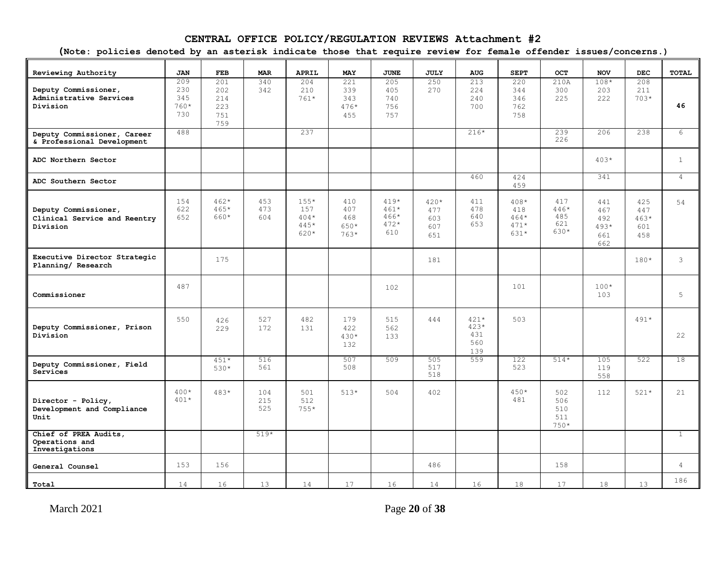### **CENTRAL OFFICE POLICY/REGULATION REVIEWS Attachment #2**

**(Note: policies denoted by an asterisk indicate those that require review for female offender issues/concerns.)**

| Reviewing Authority                                              | <b>JAN</b>                         | FEB                                    | <b>MAR</b>        | <b>APRIL</b>                            | <b>MAY</b>                          | <b>JUNE</b>                               | <b>JULY</b>                        | <b>AUG</b>                            | <b>SEPT</b>                               | <b>OCT</b>                          | <b>NOV</b>                                | <b>DEC</b>                         | <b>TOTAL</b>   |
|------------------------------------------------------------------|------------------------------------|----------------------------------------|-------------------|-----------------------------------------|-------------------------------------|-------------------------------------------|------------------------------------|---------------------------------------|-------------------------------------------|-------------------------------------|-------------------------------------------|------------------------------------|----------------|
| Deputy Commissioner,<br>Administrative Services<br>Division      | 209<br>230<br>345<br>$760*$<br>730 | 201<br>202<br>214<br>223<br>751<br>759 | 340<br>342        | 204<br>210<br>$761*$                    | 221<br>339<br>343<br>$476*$<br>455  | 205<br>405<br>740<br>756<br>757           | 250<br>270                         | 213<br>224<br>240<br>700              | 220<br>344<br>346<br>762<br>758           | 210A<br>300<br>225                  | $108*$<br>203<br>2.2.2                    | 208<br>211<br>$703*$               | 46             |
| Deputy Commissioner, Career<br>& Professional Development        | 488                                |                                        |                   | 237                                     |                                     |                                           |                                    | $216*$                                |                                           | 239<br>226                          | 206                                       | 238                                | 6              |
| ADC Northern Sector                                              |                                    |                                        |                   |                                         |                                     |                                           |                                    |                                       |                                           |                                     | $403*$                                    |                                    | $\mathbf{1}$   |
| ADC Southern Sector                                              |                                    |                                        |                   |                                         |                                     |                                           |                                    | 460                                   | 424<br>459                                |                                     | 341                                       |                                    | $\overline{4}$ |
| Deputy Commissioner,<br>Clinical Service and Reentry<br>Division | 154<br>622<br>652                  | $462*$<br>$465*$<br>660*               | 453<br>473<br>604 | $155*$<br>157<br>$404*$<br>445*<br>620* | 410<br>407<br>468<br>650*<br>$763*$ | $419*$<br>$461*$<br>466*<br>$472*$<br>610 | $420*$<br>477<br>603<br>607<br>651 | 411<br>478<br>640<br>653              | $408*$<br>418<br>$464*$<br>$471*$<br>631* | 417<br>$446*$<br>485<br>621<br>630* | 441<br>467<br>492<br>$493*$<br>661<br>662 | 425<br>447<br>$463*$<br>601<br>458 | 54             |
| Executive Director Strategic<br>Planning/ Research               |                                    | 175                                    |                   |                                         |                                     |                                           | 181                                |                                       |                                           |                                     |                                           | $180*$                             | $\mathcal{E}$  |
| Commissioner                                                     | 487                                |                                        |                   |                                         |                                     | 102                                       |                                    |                                       | 101                                       |                                     | $100*$<br>103                             |                                    | 5              |
| Deputy Commissioner, Prison<br>Division                          | 550                                | 426<br>229                             | 527<br>172        | 482<br>131                              | 179<br>422<br>$430*$<br>132         | 515<br>562<br>133                         | 444                                | $421*$<br>$423*$<br>431<br>560<br>139 | 503                                       |                                     |                                           | $491*$                             | 22             |
| Deputy Commissioner, Field<br>Services                           |                                    | $451*$<br>$530*$                       | 516<br>561        |                                         | 507<br>508                          | 509                                       | 505<br>517<br>518                  | 559                                   | 122<br>523                                | $514*$                              | 105<br>119<br>558                         | 522                                | 18             |
| Director - Policy,<br>Development and Compliance<br>Unit         | $400*$<br>$401*$                   | $483*$                                 | 104<br>215<br>525 | 501<br>512<br>$755*$                    | $51.3*$                             | 504                                       | 402                                |                                       | $450*$<br>481                             | 502<br>506<br>510<br>511<br>$750*$  | 112                                       | $521*$                             | 21             |
| Chief of PREA Audits,<br>Operations and<br>Investigations        |                                    |                                        | $519*$            |                                         |                                     |                                           |                                    |                                       |                                           |                                     |                                           |                                    | $\mathbf{1}$   |
| General Counsel                                                  | 153                                | 156                                    |                   |                                         |                                     |                                           | 486                                |                                       |                                           | 158                                 |                                           |                                    | $\overline{4}$ |
| Total                                                            | 14                                 | 16                                     | 13                | 14                                      | 17                                  | 16                                        | 14                                 | 16                                    | 18                                        | 17                                  | 18                                        | 13                                 | 186            |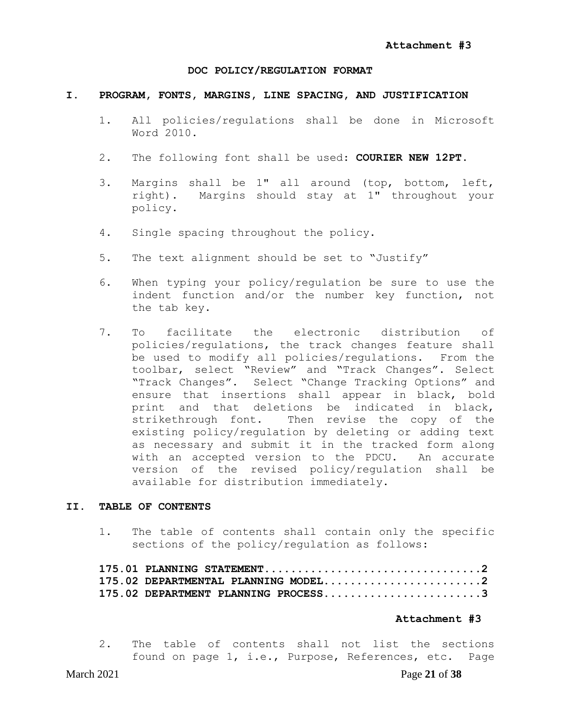#### **DOC POLICY/REGULATION FORMAT**

#### **I. PROGRAM, FONTS, MARGINS, LINE SPACING, AND JUSTIFICATION**

- 1. All policies/regulations shall be done in Microsoft Word 2010.
- 2. The following font shall be used: **COURIER NEW 12PT.**
- 3. Margins shall be 1" all around (top, bottom, left, right). Margins should stay at 1" throughout your policy.
- 4. Single spacing throughout the policy.
- 5. The text alignment should be set to "Justify"
- 6. When typing your policy/regulation be sure to use the indent function and/or the number key function, not the tab key.
- 7. To facilitate the electronic distribution of policies/regulations, the track changes feature shall be used to modify all policies/regulations. From the toolbar, select "Review" and "Track Changes". Select "Track Changes". Select "Change Tracking Options" and ensure that insertions shall appear in black, bold print and that deletions be indicated in black, strikethrough font. Then revise the copy of the existing policy/regulation by deleting or adding text as necessary and submit it in the tracked form along with an accepted version to the PDCU. An accurate version of the revised policy/regulation shall be available for distribution immediately.

#### **II. TABLE OF CONTENTS**

1. The table of contents shall contain only the specific sections of the policy/regulation as follows:

| 175.02 DEPARTMENTAL PLANNING MODEL2 |  |
|-------------------------------------|--|
| 175.02 DEPARTMENT PLANNING PROCESS3 |  |

#### **Attachment #3**

2. The table of contents shall not list the sections found on page 1, i.e., Purpose, References, etc. Page

#### March 2021 Page **21** of **38**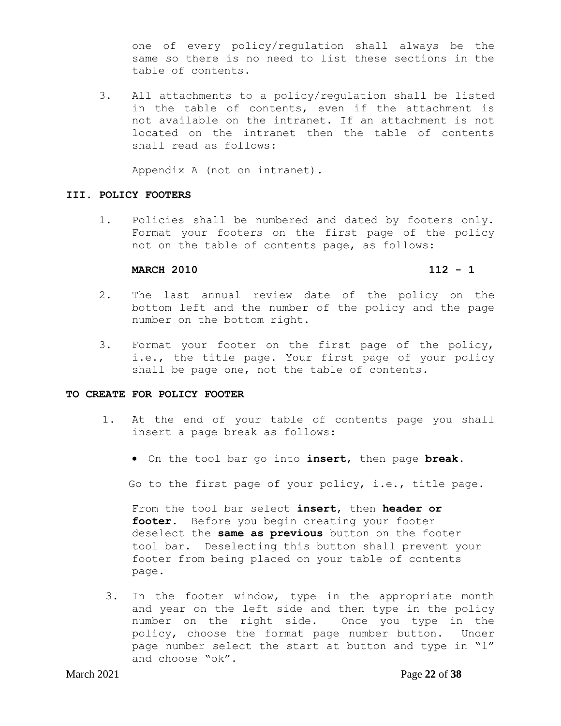one of every policy/regulation shall always be the same so there is no need to list these sections in the table of contents.

3. All attachments to a policy/regulation shall be listed in the table of contents, even if the attachment is not available on the intranet. If an attachment is not located on the intranet then the table of contents shall read as follows:

Appendix A (not on intranet).

#### **III. POLICY FOOTERS**

1. Policies shall be numbered and dated by footers only. Format your footers on the first page of the policy not on the table of contents page, as follows:

#### **MARCH 2010 112 - 1**

- 2. The last annual review date of the policy on the bottom left and the number of the policy and the page number on the bottom right.
- 3. Format your footer on the first page of the policy, i.e., the title page. Your first page of your policy shall be page one, not the table of contents.

#### **TO CREATE FOR POLICY FOOTER**

- 1. At the end of your table of contents page you shall insert a page break as follows:
	- On the tool bar go into **insert**, then page **break.**

Go to the first page of your policy, i.e., title page.

From the tool bar select **insert**, then **header or footer**. Before you begin creating your footer deselect the **same as previous** button on the footer tool bar. Deselecting this button shall prevent your footer from being placed on your table of contents page.

3. In the footer window, type in the appropriate month and year on the left side and then type in the policy number on the right side. Once you type in the policy, choose the format page number button. Under page number select the start at button and type in "1" and choose "ok".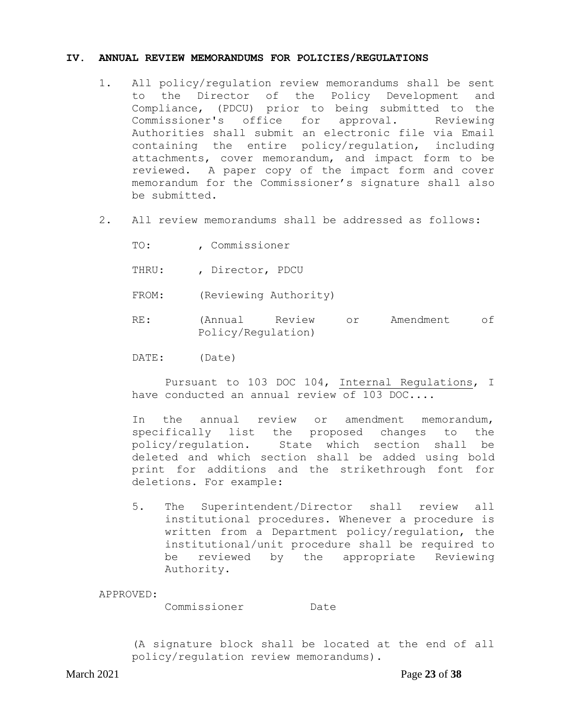#### **IV. ANNUAL REVIEW MEMORANDUMS FOR POLICIES/REGULATIONS**

- 1. All policy/regulation review memorandums shall be sent to the Director of the Policy Development and Compliance, (PDCU) prior to being submitted to the Commissioner's office for approval. Reviewing Authorities shall submit an electronic file via Email containing the entire policy/regulation, including attachments, cover memorandum, and impact form to be reviewed. A paper copy of the impact form and cover memorandum for the Commissioner's signature shall also be submitted.
- 2. All review memorandums shall be addressed as follows:
	- TO: , Commissioner
	- THRU: , Director, PDCU
	- FROM: (Reviewing Authority)
	- RE: (Annual Review or Amendment of Policy/Regulation)
	- DATE: (Date)

Pursuant to 103 DOC 104, Internal Regulations, I have conducted an annual review of 103 DOC....

In the annual review or amendment memorandum, specifically list the proposed changes to the policy/regulation. State which section shall be deleted and which section shall be added using bold print for additions and the strikethrough font for deletions. For example:

5. The Superintendent/Director shall review all institutional procedures. Whenever a procedure is written from a Department policy/regulation, the institutional/unit procedure shall be required to be reviewed by the appropriate Reviewing Authority.

APPROVED:

Commissioner Date

(A signature block shall be located at the end of all policy/regulation review memorandums).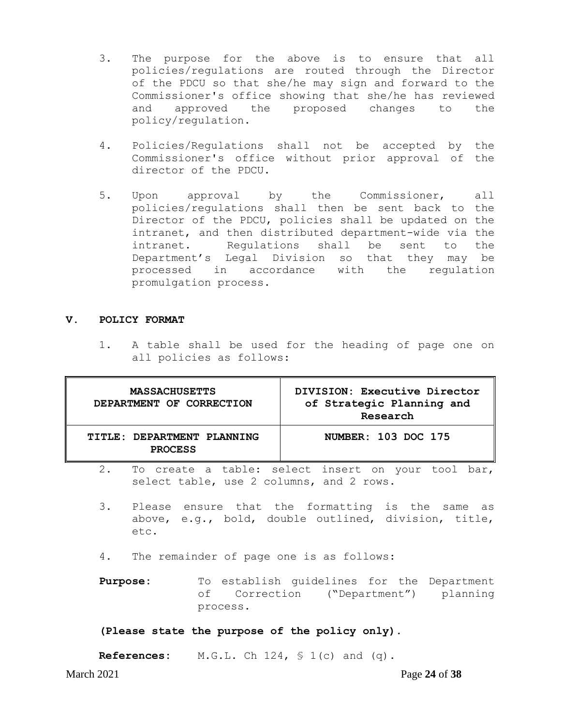- 3. The purpose for the above is to ensure that all policies/regulations are routed through the Director of the PDCU so that she/he may sign and forward to the Commissioner's office showing that she/he has reviewed and approved the proposed changes to the policy/regulation.
- 4. Policies/Regulations shall not be accepted by the Commissioner's office without prior approval of the director of the PDCU.
- 5. Upon approval by the Commissioner, all policies/regulations shall then be sent back to the Director of the PDCU, policies shall be updated on the intranet, and then distributed department-wide via the intranet. Regulations shall be sent to the Department's Legal Division so that they may be processed in accordance with the regulation promulgation process.

#### **V. POLICY FORMAT**

1. A table shall be used for the heading of page one on all policies as follows:

| <b>MASSACHUSETTS</b><br>DEPARTMENT OF CORRECTION | DIVISION: Executive Director<br>of Strategic Planning and<br>Research |
|--------------------------------------------------|-----------------------------------------------------------------------|
| TITLE: DEPARTMENT PLANNING<br><b>PROCESS</b>     | NUMBER: 103 DOC 175                                                   |

- 2. To create a table: select insert on your tool bar, select table, use 2 columns, and 2 rows.
- 3. Please ensure that the formatting is the same as above, e.g., bold, double outlined, division, title, etc.
- 4. The remainder of page one is as follows:
- Purpose: To establish guidelines for the Department of Correction ("Department") planning process.

### **(Please state the purpose of the policy only).**

**References:** M.G.L. Ch 124, § 1(c) and (q).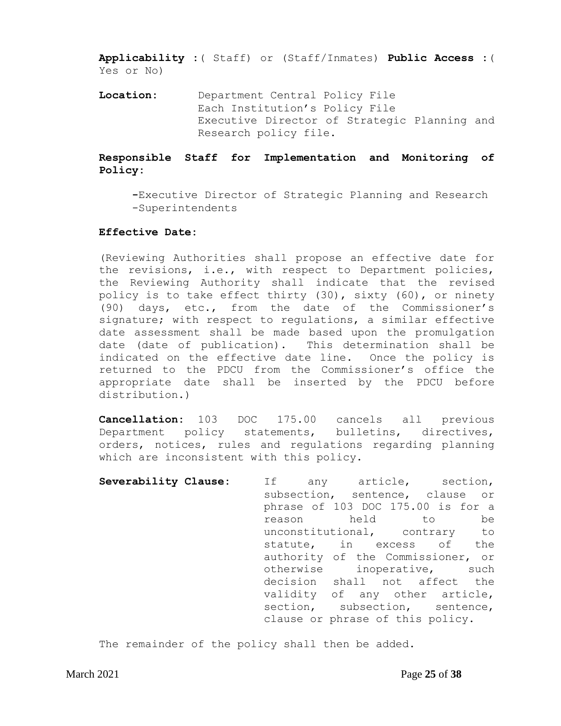**Applicability :**( Staff) or (Staff/Inmates) **Public Access :**( Yes or No)

**Location:** Department Central Policy File Each Institution's Policy File Executive Director of Strategic Planning and Research policy file.

### **Responsible Staff for Implementation and Monitoring of Policy:**

**-**Executive Director of Strategic Planning and Research -Superintendents

#### **Effective Date:**

(Reviewing Authorities shall propose an effective date for the revisions, i.e., with respect to Department policies, the Reviewing Authority shall indicate that the revised policy is to take effect thirty (30), sixty (60), or ninety (90) days, etc., from the date of the Commissioner's signature; with respect to regulations, a similar effective date assessment shall be made based upon the promulgation date (date of publication). This determination shall be indicated on the effective date line. Once the policy is returned to the PDCU from the Commissioner's office the appropriate date shall be inserted by the PDCU before distribution.)

**Cancellation:** 103 DOC 175.00 cancels all previous Department policy statements, bulletins, directives, orders, notices, rules and regulations regarding planning which are inconsistent with this policy.

**Severability Clause:** If any article, section, subsection, sentence, clause or phrase of 103 DOC 175.00 is for a reason held to be unconstitutional, contrary to statute, in excess of the authority of the Commissioner, or otherwise inoperative, such decision shall not affect the validity of any other article, section, subsection, sentence, clause or phrase of this policy.

The remainder of the policy shall then be added.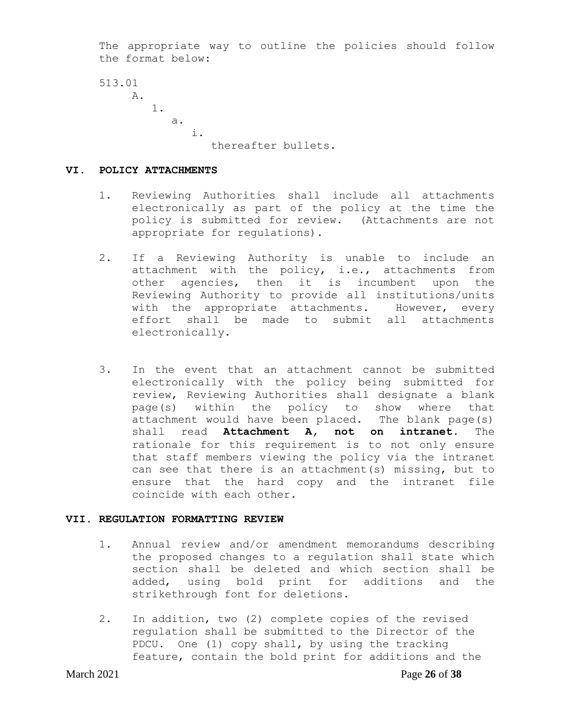The appropriate way to outline the policies should follow the format below:

```
513.01
A.
     1.
       a.
            i.
                thereafter bullets.
```
#### **VI. POLICY ATTACHMENTS**

- 1. Reviewing Authorities shall include all attachments electronically as part of the policy at the time the policy is submitted for review. (Attachments are not appropriate for regulations).
- 2. If a Reviewing Authority is unable to include an attachment with the policy, i.e., attachments from other agencies, then it is incumbent upon the Reviewing Authority to provide all institutions/units with the appropriate attachments. However, every effort shall be made to submit all attachments electronically.
- 3. In the event that an attachment cannot be submitted electronically with the policy being submitted for review, Reviewing Authorities shall designate a blank page(s) within the policy to show where that attachment would have been placed. The blank page(s) shall read **Attachment A, not on intranet**. The rationale for this requirement is to not only ensure that staff members viewing the policy via the intranet can see that there is an attachment(s) missing, but to ensure that the hard copy and the intranet file coincide with each other.

### **VII. REGULATION FORMATTING REVIEW**

- 1. Annual review and/or amendment memorandums describing the proposed changes to a regulation shall state which section shall be deleted and which section shall be added, using bold print for additions and the strikethrough font for deletions.
- 2. In addition, two (2) complete copies of the revised regulation shall be submitted to the Director of the PDCU. One (1) copy shall, by using the tracking feature, contain the bold print for additions and the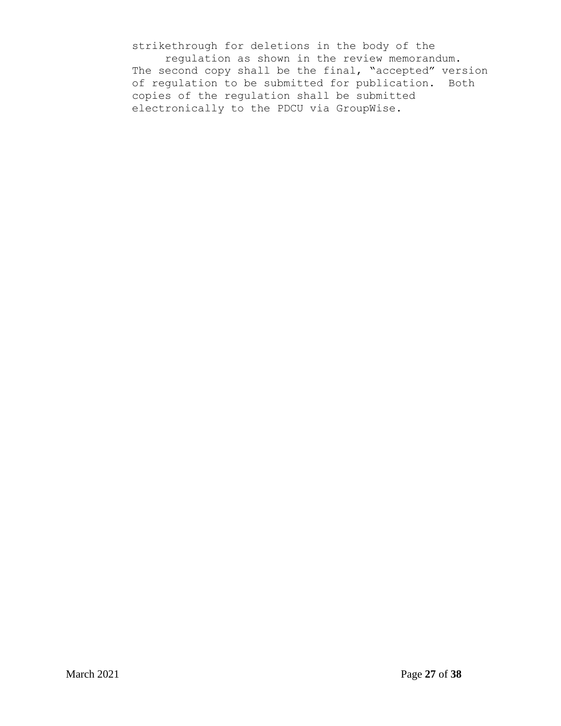strikethrough for deletions in the body of the regulation as shown in the review memorandum. The second copy shall be the final, "accepted" version of regulation to be submitted for publication. Both copies of the regulation shall be submitted electronically to the PDCU via GroupWise.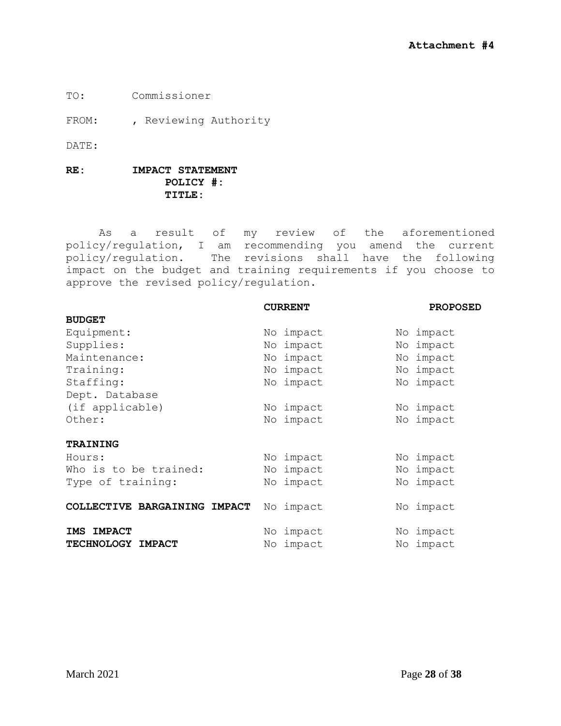TO: Commissioner

FROM: , Reviewing Authority

DATE:

### **RE: IMPACT STATEMENT POLICY #: TITLE:**

As a result of my review of the aforementioned policy/regulation, I am recommending you amend the current policy/regulation. The revisions shall have the following impact on the budget and training requirements if you choose to approve the revised policy/regulation.

|                                    | <b>CURRENT</b> | <b>PROPOSED</b> |
|------------------------------------|----------------|-----------------|
| <b>BUDGET</b>                      |                |                 |
| Equipment:                         | No impact      | No impact       |
| Supplies:                          | impact<br>No   | impact<br>No    |
| Maintenance:                       | impact<br>No   | impact<br>No    |
| Training:                          | impact<br>No   | impact<br>No    |
| Staffing:                          | No impact      | impact<br>No    |
| Dept. Database                     |                |                 |
| (if applicable)                    | impact<br>No   | No impact       |
| Other:                             | impact<br>No   | No impact       |
| <b>TRAINING</b>                    |                |                 |
| Hours:                             | No impact      | impact<br>No.   |
| Who is to be trained:              | impact<br>No   | impact<br>No.   |
| Type of training:                  | impact<br>No   | impact<br>No    |
| COLLECTIVE BARGAINING IMPACT       | No impact      | No impact       |
| <b>IMPACT</b><br><b>IMS</b>        | No impact      | impact<br>No    |
| <b>TECHNOLOGY</b><br><b>IMPACT</b> | impact<br>No   | impact<br>No    |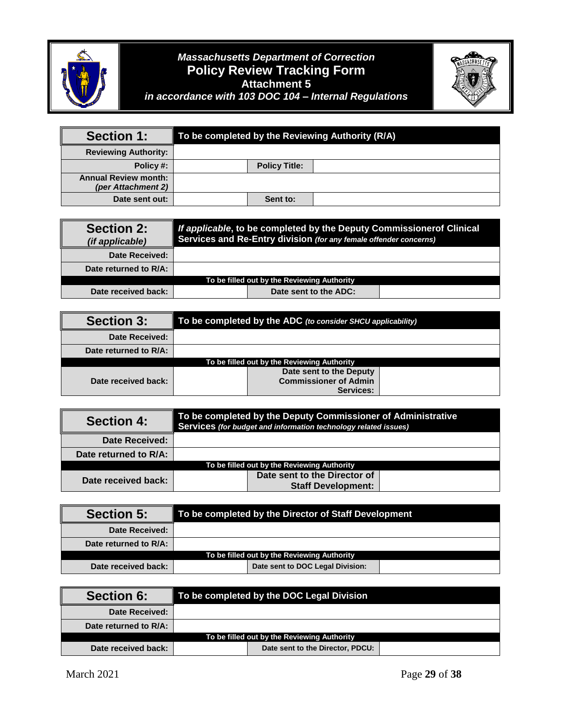

# <sup>+</sup> *Massachusetts Department of Correction* **Policy Review Tracking Form Attachment 5**



*in accordance with 103 DOC 104 – Internal Regulations*

| <b>Section 1:</b>                                 |                      | To be completed by the Reviewing Authority (R/A) |
|---------------------------------------------------|----------------------|--------------------------------------------------|
| <b>Reviewing Authority:</b>                       |                      |                                                  |
| Policy #:                                         | <b>Policy Title:</b> |                                                  |
| <b>Annual Review month:</b><br>(per Attachment 2) |                      |                                                  |
| Date sent out:                                    | Sent to:             |                                                  |

| <b>Section 2:</b><br><i>(if applicable)</i> | If applicable, to be completed by the Deputy Commissionerof Clinical<br>Services and Re-Entry division (for any female offender concerns) |                                             |  |  |
|---------------------------------------------|-------------------------------------------------------------------------------------------------------------------------------------------|---------------------------------------------|--|--|
| Date Received:                              |                                                                                                                                           |                                             |  |  |
| Date returned to R/A:                       |                                                                                                                                           |                                             |  |  |
|                                             |                                                                                                                                           | To be filled out by the Reviewing Authority |  |  |
| Date received back:                         |                                                                                                                                           | Date sent to the ADC:                       |  |  |

| <b>Section 3:</b>     | $\parallel$ To be completed by the ADC (to consider SHCU applicability) |                                             |  |  |  |
|-----------------------|-------------------------------------------------------------------------|---------------------------------------------|--|--|--|
| Date Received:        |                                                                         |                                             |  |  |  |
| Date returned to R/A: |                                                                         |                                             |  |  |  |
|                       |                                                                         | To be filled out by the Reviewing Authority |  |  |  |
|                       |                                                                         | Date sent to the Deputy                     |  |  |  |
| Date received back:   |                                                                         | <b>Commissioner of Admin</b>                |  |  |  |
|                       |                                                                         | Services:                                   |  |  |  |

| <b>Section 4:</b>     | To be completed by the Deputy Commissioner of Administrative<br>Services (for budget and information technology related issues) |  |  |  |
|-----------------------|---------------------------------------------------------------------------------------------------------------------------------|--|--|--|
| <b>Date Received:</b> |                                                                                                                                 |  |  |  |
| Date returned to R/A: |                                                                                                                                 |  |  |  |
|                       | To be filled out by the Reviewing Authority                                                                                     |  |  |  |
| Date received back:   | Date sent to the Director of<br><b>Staff Development:</b>                                                                       |  |  |  |

| <b>Section 5:</b>     | To be completed by the Director of Staff Development |
|-----------------------|------------------------------------------------------|
| Date Received:        |                                                      |
| Date returned to R/A: |                                                      |
|                       | To be filled out by the Reviewing Authority          |
| Date received back:   | Date sent to DOC Legal Division:                     |

| <b>Section 6:</b>     | To be completed by the DOC Legal Division   |  |
|-----------------------|---------------------------------------------|--|
| Date Received:        |                                             |  |
| Date returned to R/A: |                                             |  |
|                       | To be filled out by the Reviewing Authority |  |
| Date received back:   | Date sent to the Director, PDCU:            |  |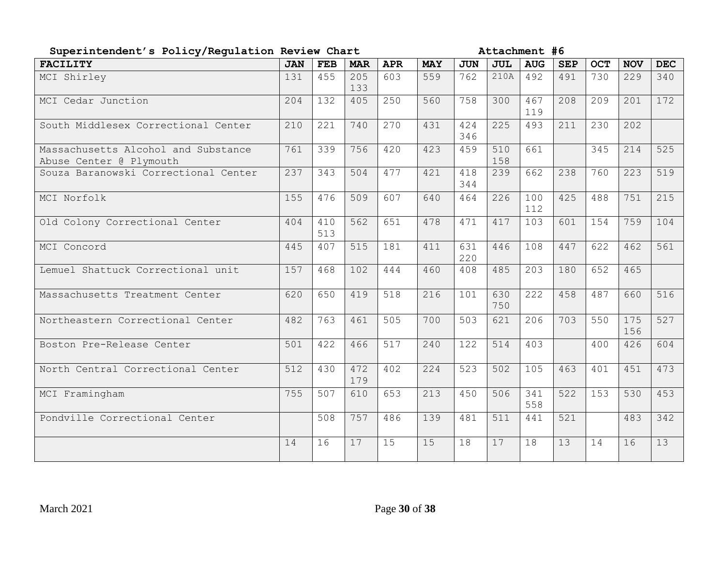| Superintendent's Policy/Regulation Review Chart                |            |            |            | Attachment #6 |            |            |            |            |            |            |            |            |
|----------------------------------------------------------------|------------|------------|------------|---------------|------------|------------|------------|------------|------------|------------|------------|------------|
| <b>FACILITY</b>                                                | <b>JAN</b> | <b>FEB</b> | <b>MAR</b> | <b>APR</b>    | <b>MAY</b> | <b>JUN</b> | <b>JUL</b> | <b>AUG</b> | <b>SEP</b> | <b>OCT</b> | <b>NOV</b> | <b>DEC</b> |
| MCI Shirley                                                    | 131        | 455        | 205<br>133 | 603           | 559        | 762        | 210A       | 492        | 491        | 730        | 229        | 340        |
| MCI Cedar Junction                                             | 204        | 132        | 405        | 250           | 560        | 758        | 300        | 467<br>119 | 208        | 209        | 201        | 172        |
| South Middlesex Correctional Center                            | 210        | 221        | 740        | 270           | 431        | 424<br>346 | 225        | 493        | 211        | 230        | 202        |            |
| Massachusetts Alcohol and Substance<br>Abuse Center @ Plymouth | 761        | 339        | 756        | 420           | 423        | 459        | 510<br>158 | 661        |            | 345        | 214        | 525        |
| Souza Baranowski Correctional Center                           | 237        | 343        | 504        | 477           | 421        | 418<br>344 | 239        | 662        | 238        | 760        | 223        | 519        |
| MCI Norfolk                                                    | 155        | 476        | 509        | 607           | 640        | 464        | 226        | 100<br>112 | 425        | 488        | 751        | 215        |
| Old Colony Correctional Center                                 | 404        | 410<br>513 | 562        | 651           | 478        | 471        | 417        | 103        | 601        | 154        | 759        | 104        |
| MCI Concord                                                    | 445        | 407        | 515        | 181           | 411        | 631<br>220 | 446        | 108        | 447        | 622        | 462        | 561        |
| Lemuel Shattuck Correctional unit                              | 157        | 468        | 102        | 444           | 460        | 408        | 485        | 203        | 180        | 652        | 465        |            |
| Massachusetts Treatment Center                                 | 620        | 650        | 419        | 518           | 216        | 101        | 630<br>750 | 222        | 458        | 487        | 660        | 516        |
| Northeastern Correctional Center                               | 482        | 763        | 461        | 505           | 700        | 503        | 621        | 206        | 703        | 550        | 175<br>156 | 527        |
| Boston Pre-Release Center                                      | 501        | 422        | 466        | 517           | 240        | 122        | 514        | 403        |            | 400        | 426        | 604        |
| North Central Correctional Center                              | 512        | 430        | 472<br>179 | 402           | 224        | 523        | 502        | 105        | 463        | 401        | 451        | 473        |
| MCI Framingham                                                 | 755        | 507        | 610        | 653           | 213        | 450        | 506        | 341<br>558 | 522        | 153        | 530        | 453        |
| Pondville Correctional Center                                  |            | 508        | 757        | 486           | 139        | 481        | 511        | 441        | 521        |            | 483        | 342        |
|                                                                | 14         | 16         | 17         | 15            | 15         | 18         | 17         | 18         | 13         | 14         | 16         | 13         |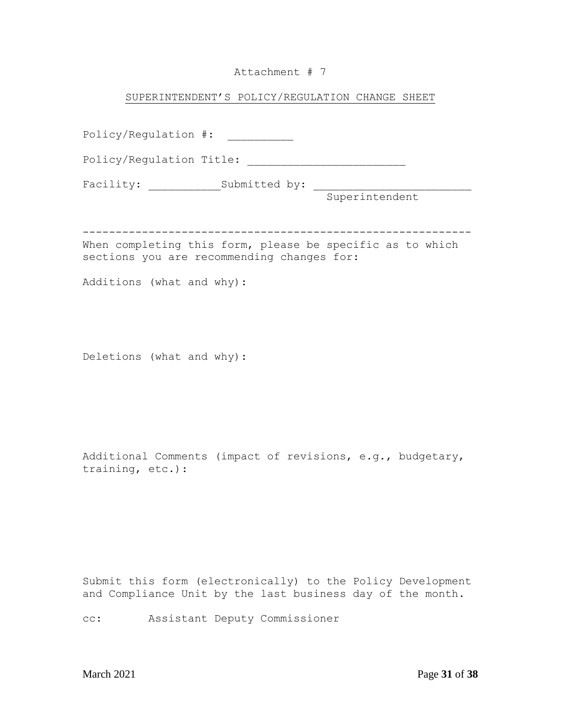# Attachment # 7

### SUPERINTENDENT'S POLICY/REGULATION CHANGE SHEET

| Policy/Requlation $\#$ :                                                                                |               |                |
|---------------------------------------------------------------------------------------------------------|---------------|----------------|
| Policy/Regulation Title:                                                                                |               |                |
| Facility:                                                                                               | Submitted by: |                |
|                                                                                                         |               | Superintendent |
|                                                                                                         |               |                |
| When completing this form, please be specific as to which<br>sections you are recommending changes for: |               |                |
| Additions (what and why):                                                                               |               |                |

Deletions (what and why):

Additional Comments (impact of revisions, e.g., budgetary, training, etc.):

Submit this form (electronically) to the Policy Development and Compliance Unit by the last business day of the month.

cc: Assistant Deputy Commissioner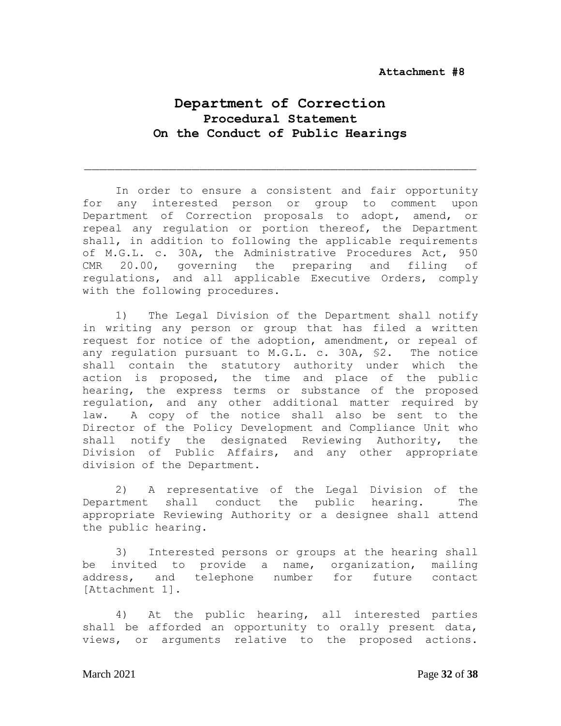# **Department of Correction Procedural Statement On the Conduct of Public Hearings**

In order to ensure a consistent and fair opportunity for any interested person or group to comment upon Department of Correction proposals to adopt, amend, or repeal any regulation or portion thereof, the Department shall, in addition to following the applicable requirements of M.G.L. c. 30A, the Administrative Procedures Act, 950 CMR 20.00, governing the preparing and filing of regulations, and all applicable Executive Orders, comply with the following procedures.

1) The Legal Division of the Department shall notify in writing any person or group that has filed a written request for notice of the adoption, amendment, or repeal of any regulation pursuant to M.G.L. c. 30A, §2. The notice shall contain the statutory authority under which the action is proposed, the time and place of the public hearing, the express terms or substance of the proposed regulation, and any other additional matter required by law. A copy of the notice shall also be sent to the Director of the Policy Development and Compliance Unit who shall notify the designated Reviewing Authority, the Division of Public Affairs, and any other appropriate division of the Department.

2) A representative of the Legal Division of the Department shall conduct the public hearing. The appropriate Reviewing Authority or a designee shall attend the public hearing.

3) Interested persons or groups at the hearing shall be invited to provide a name, organization, mailing address, and telephone number for future contact [Attachment 1].

4) At the public hearing, all interested parties shall be afforded an opportunity to orally present data, views, or arguments relative to the proposed actions.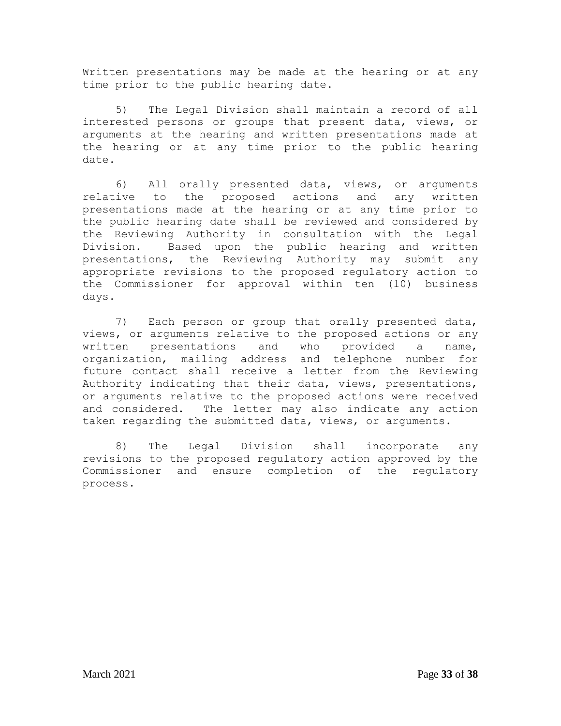Written presentations may be made at the hearing or at any time prior to the public hearing date.

5) The Legal Division shall maintain a record of all interested persons or groups that present data, views, or arguments at the hearing and written presentations made at the hearing or at any time prior to the public hearing date.

6) All orally presented data, views, or arguments relative to the proposed actions and any written presentations made at the hearing or at any time prior to the public hearing date shall be reviewed and considered by the Reviewing Authority in consultation with the Legal Division. Based upon the public hearing and written presentations, the Reviewing Authority may submit any appropriate revisions to the proposed regulatory action to the Commissioner for approval within ten (10) business days.

7) Each person or group that orally presented data, views, or arguments relative to the proposed actions or any written presentations and who provided a name, organization, mailing address and telephone number for future contact shall receive a letter from the Reviewing Authority indicating that their data, views, presentations, or arguments relative to the proposed actions were received and considered. The letter may also indicate any action taken regarding the submitted data, views, or arguments.

8) The Legal Division shall incorporate any revisions to the proposed regulatory action approved by the Commissioner and ensure completion of the regulatory process.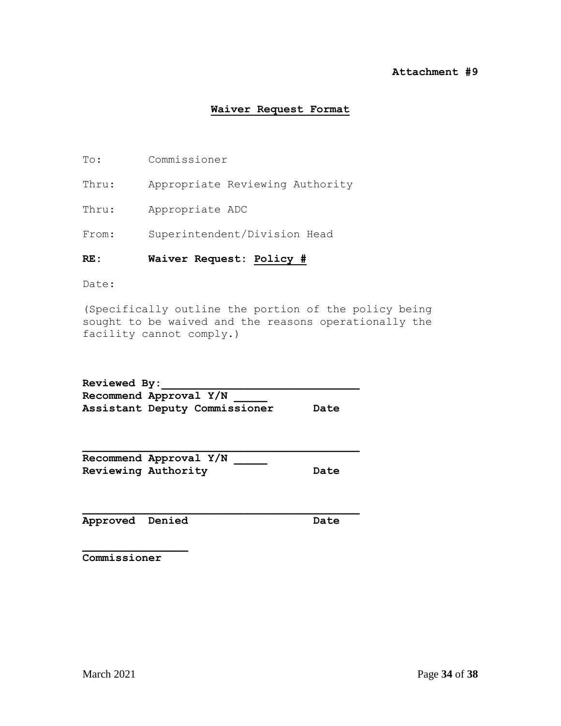#### **Attachment #9**

#### **Waiver Request Format**

- To: Commissioner
- Thru: Appropriate Reviewing Authority
- Thru: Appropriate ADC
- From: Superintendent/Division Head

#### **RE: Waiver Request: Policy #**

Date:

(Specifically outline the portion of the policy being sought to be waived and the reasons operationally the facility cannot comply.)

Reviewed By: **Recommend Approval Y/N \_\_\_\_\_ Assistant Deputy Commissioner Date**

| Recommend Approval Y/N     |      |
|----------------------------|------|
| <b>Reviewing Authority</b> | Date |

**Approved Denied Date**

**Commissioner**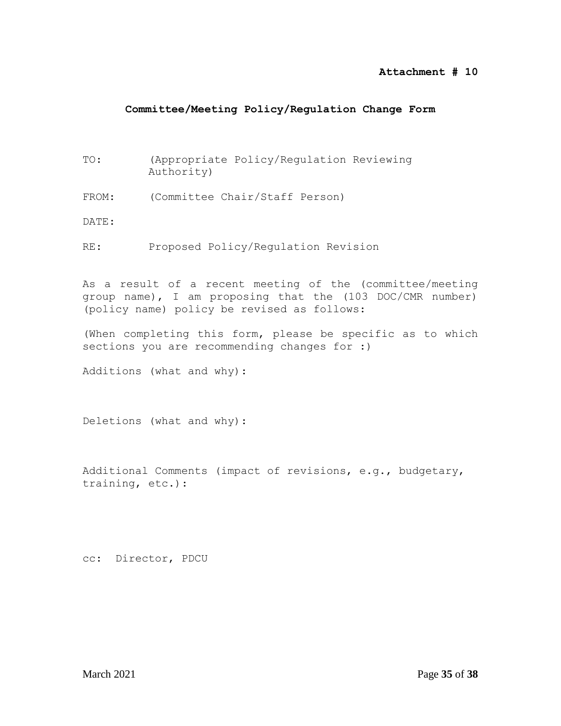#### **Attachment # 10**

### **Committee/Meeting Policy/Regulation Change Form**

- TO: (Appropriate Policy/Regulation Reviewing Authority)
- FROM: (Committee Chair/Staff Person)

DATE:

RE: Proposed Policy/Regulation Revision

As a result of a recent meeting of the (committee/meeting group name), I am proposing that the (103 DOC/CMR number) (policy name) policy be revised as follows:

(When completing this form, please be specific as to which sections you are recommending changes for :)

Additions (what and why):

Deletions (what and why):

Additional Comments (impact of revisions, e.g., budgetary, training, etc.):

cc: Director, PDCU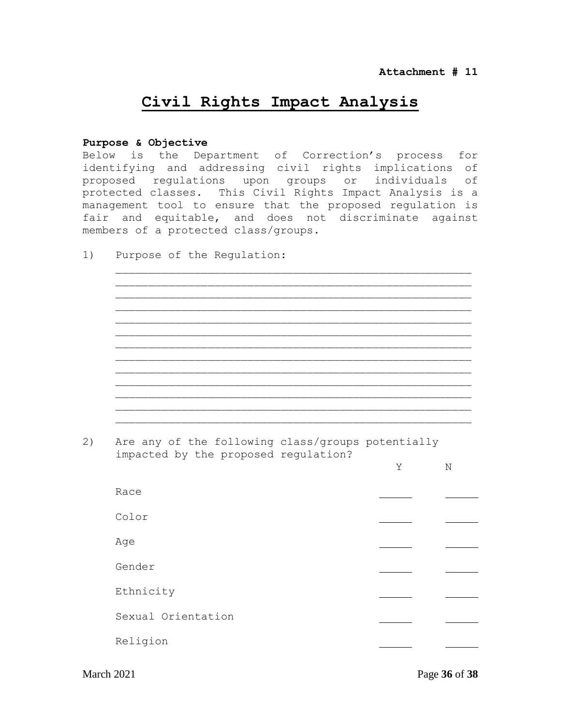# **Civil Rights Impact Analysis**

#### **Purpose & Objective**

Below is the Department of Correction's process for identifying and addressing civil rights implications of proposed regulations upon groups or individuals of protected classes. This Civil Rights Impact Analysis is a management tool to ensure that the proposed regulation is fair and equitable, and does not discriminate against members of a protected class/groups.

 $\frac{1}{2}$  ,  $\frac{1}{2}$  ,  $\frac{1}{2}$  ,  $\frac{1}{2}$  ,  $\frac{1}{2}$  ,  $\frac{1}{2}$  ,  $\frac{1}{2}$  ,  $\frac{1}{2}$  ,  $\frac{1}{2}$  ,  $\frac{1}{2}$  ,  $\frac{1}{2}$  ,  $\frac{1}{2}$  ,  $\frac{1}{2}$  ,  $\frac{1}{2}$  ,  $\frac{1}{2}$  ,  $\frac{1}{2}$  ,  $\frac{1}{2}$  ,  $\frac{1}{2}$  ,  $\frac{1$ 

 $\mathcal{L}_\mathcal{L} = \{ \mathcal{L}_\mathcal{L} = \{ \mathcal{L}_\mathcal{L} = \{ \mathcal{L}_\mathcal{L} = \{ \mathcal{L}_\mathcal{L} = \{ \mathcal{L}_\mathcal{L} = \{ \mathcal{L}_\mathcal{L} = \{ \mathcal{L}_\mathcal{L} = \{ \mathcal{L}_\mathcal{L} = \{ \mathcal{L}_\mathcal{L} = \{ \mathcal{L}_\mathcal{L} = \{ \mathcal{L}_\mathcal{L} = \{ \mathcal{L}_\mathcal{L} = \{ \mathcal{L}_\mathcal{L} = \{ \mathcal{L}_\mathcal{$ 

\_\_\_\_\_\_\_\_\_\_\_\_\_\_\_\_\_\_\_\_\_\_\_\_\_\_\_\_\_\_\_\_\_\_\_\_\_\_\_\_\_\_\_\_\_\_\_\_\_\_\_\_\_\_

1) Purpose of the Regulation:

2) Are any of the following class/groups potentially impacted by the proposed regulation?

| Race               |  |
|--------------------|--|
| Color              |  |
| Age                |  |
| Gender             |  |
| Ethnicity          |  |
| Sexual Orientation |  |
| Religion           |  |
|                    |  |

March 2021 Page **36** of **38**

Y N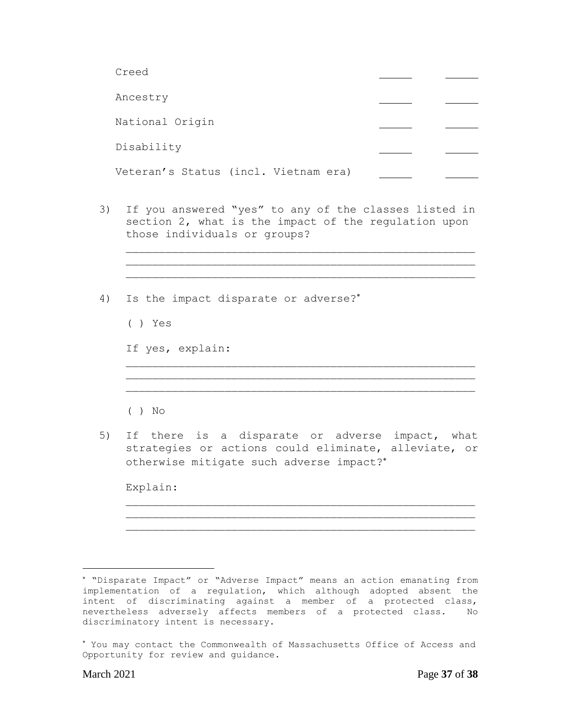| Creed                                |  |
|--------------------------------------|--|
| Ancestry                             |  |
| National Origin                      |  |
| Disability                           |  |
| Veteran's Status (incl. Vietnam era) |  |

3) If you answered "yes" to any of the classes listed in section 2, what is the impact of the regulation upon those individuals or groups?

> \_\_\_\_\_\_\_\_\_\_\_\_\_\_\_\_\_\_\_\_\_\_\_\_\_\_\_\_\_\_\_\_\_\_\_\_\_\_\_\_\_\_\_\_\_\_\_\_\_\_\_\_\_ \_\_\_\_\_\_\_\_\_\_\_\_\_\_\_\_\_\_\_\_\_\_\_\_\_\_\_\_\_\_\_\_\_\_\_\_\_\_\_\_\_\_\_\_\_\_\_\_\_\_\_\_\_

> > \_\_\_\_\_\_\_\_\_\_\_\_\_\_\_\_\_\_\_\_\_\_\_\_\_\_\_\_\_\_\_\_\_\_\_\_\_\_\_\_\_\_\_\_\_\_\_\_\_\_\_\_\_ \_\_\_\_\_\_\_\_\_\_\_\_\_\_\_\_\_\_\_\_\_\_\_\_\_\_\_\_\_\_\_\_\_\_\_\_\_\_\_\_\_\_\_\_\_\_\_\_\_\_\_\_\_

\_\_\_\_\_\_\_\_\_\_\_\_\_\_\_\_\_\_\_\_\_\_\_\_\_\_\_\_\_\_\_\_\_\_\_\_\_\_\_\_\_\_\_\_\_\_\_\_\_\_\_\_\_

- 4) Is the impact disparate or adverse?
	- ( ) Yes

If yes, explain:

- ( ) No
- 5) If there is a disparate or adverse impact, what strategies or actions could eliminate, alleviate, or otherwise mitigate such adverse impact?

Explain:

 $\overline{a}$ 

"Disparate Impact" or "Adverse Impact" means an action emanating from implementation of a regulation, which although adopted absent the intent of discriminating against a member of a protected class, nevertheless adversely affects members of a protected class. No discriminatory intent is necessary.

You may contact the Commonwealth of Massachusetts Office of Access and Opportunity for review and guidance.